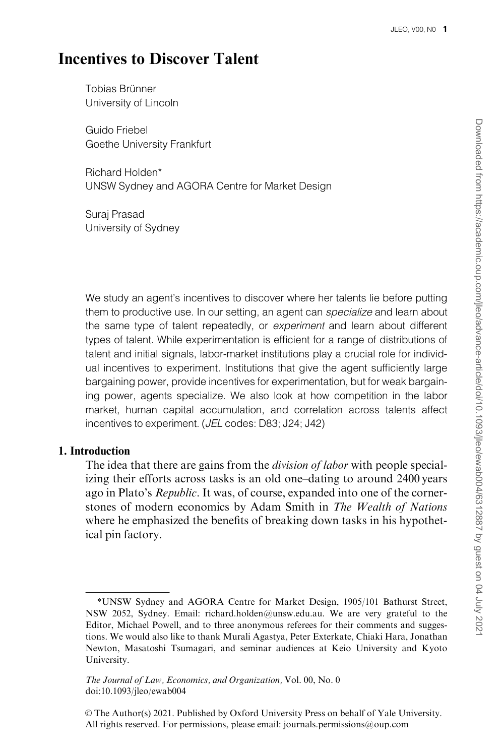# Incentives to Discover Talent

Tobias Brünner University of Lincoln

Guido Friebel Goethe University Frankfurt

Richard Holden\* UNSW Sydney and AGORA Centre for Market Design

Suraj Prasad University of Sydney

We study an agent's incentives to discover where her talents lie before putting them to productive use. In our setting, an agent can specialize and learn about the same type of talent repeatedly, or *experiment* and learn about different types of talent. While experimentation is efficient for a range of distributions of talent and initial signals, labor-market institutions play a crucial role for individual incentives to experiment. Institutions that give the agent sufficiently large bargaining power, provide incentives for experimentation, but for weak bargaining power, agents specialize. We also look at how competition in the labor market, human capital accumulation, and correlation across talents affect incentives to experiment. (JEL codes: D83; J24; J42)

# 1. Introduction

The idea that there are gains from the *division of labor* with people specializing their efforts across tasks is an old one–dating to around 2400 years ago in Plato's Republic. It was, of course, expanded into one of the cornerstones of modern economics by Adam Smith in The Wealth of Nations where he emphasized the benefits of breaking down tasks in his hypothetical pin factory.

<sup>\*</sup>UNSW Sydney and AGORA Centre for Market Design, 1905/101 Bathurst Street, NSW 2052, Sydney. Email: richard.holden@unsw.edu.au. We are very grateful to the Editor, Michael Powell, and to three anonymous referees for their comments and suggestions. We would also like to thank Murali Agastya, Peter Exterkate, Chiaki Hara, Jonathan Newton, Masatoshi Tsumagari, and seminar audiences at Keio University and Kyoto University.

The Journal of Law, Economics, and Organization, Vol. 00, No. 0 doi:10.1093/jleo/ewab004

V<sup>C</sup> The Author(s) 2021. Published by Oxford University Press on behalf of Yale University. All rights reserved. For permissions, please email: journals.permissions@oup.com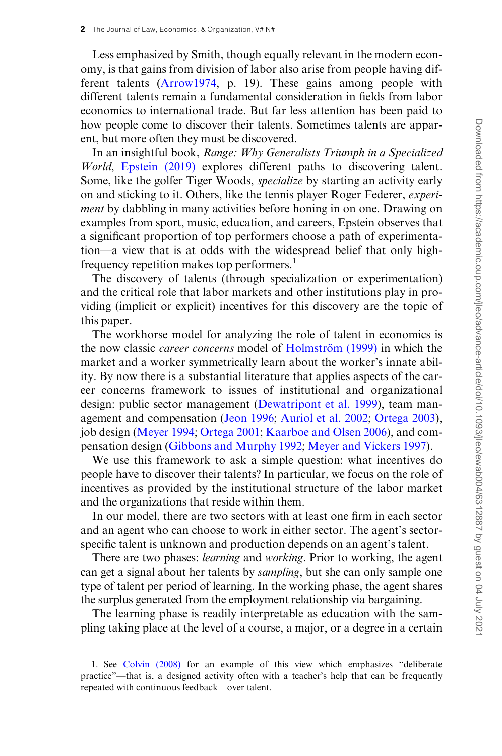Less emphasized by Smith, though equally relevant in the modern economy, is that gains from division of labor also arise from people having different talents ([Arrow1974,](#page-34-0) p. 19). These gains among people with different talents remain a fundamental consideration in fields from labor economics to international trade. But far less attention has been paid to how people come to discover their talents. Sometimes talents are apparent, but more often they must be discovered.

In an insightful book, Range: Why Generalists Triumph in a Specialized World, [Epstein \(2019\)](#page-34-0) explores different paths to discovering talent. Some, like the golfer Tiger Woods, specialize by starting an activity early on and sticking to it. Others, like the tennis player Roger Federer, experiment by dabbling in many activities before honing in on one. Drawing on examples from sport, music, education, and careers, Epstein observes that a significant proportion of top performers choose a path of experimentation—a view that is at odds with the widespread belief that only highfrequency repetition makes top performers.<sup>1</sup>

The discovery of talents (through specialization or experimentation) and the critical role that labor markets and other institutions play in providing (implicit or explicit) incentives for this discovery are the topic of this paper.

The workhorse model for analyzing the role of talent in economics is the now classic *career concerns* model of Holmström (1999) in which the market and a worker symmetrically learn about the worker's innate ability. By now there is a substantial literature that applies aspects of the career concerns framework to issues of institutional and organizational design: public sector management [\(Dewatripont et al. 1999](#page-34-0)), team management and compensation [\(Jeon 1996](#page-34-0); [Auriol et al. 2002;](#page-34-0) [Ortega 2003\)](#page-34-0), job design [\(Meyer 1994;](#page-34-0) [Ortega 2001](#page-34-0); [Kaarboe and Olsen 2006\)](#page-34-0), and compensation design ([Gibbons and Murphy 1992](#page-34-0); [Meyer and Vickers 1997\)](#page-34-0).

We use this framework to ask a simple question: what incentives do people have to discover their talents? In particular, we focus on the role of incentives as provided by the institutional structure of the labor market and the organizations that reside within them.

In our model, there are two sectors with at least one firm in each sector and an agent who can choose to work in either sector. The agent's sectorspecific talent is unknown and production depends on an agent's talent.

There are two phases: *learning* and *working*. Prior to working, the agent can get a signal about her talents by sampling, but she can only sample one type of talent per period of learning. In the working phase, the agent shares the surplus generated from the employment relationship via bargaining.

The learning phase is readily interpretable as education with the sampling taking place at the level of a course, a major, or a degree in a certain

<sup>1.</sup> See [Colvin \(2008\)](#page-34-0) for an example of this view which emphasizes "deliberate practice"—that is, a designed activity often with a teacher's help that can be frequently repeated with continuous feedback—over talent.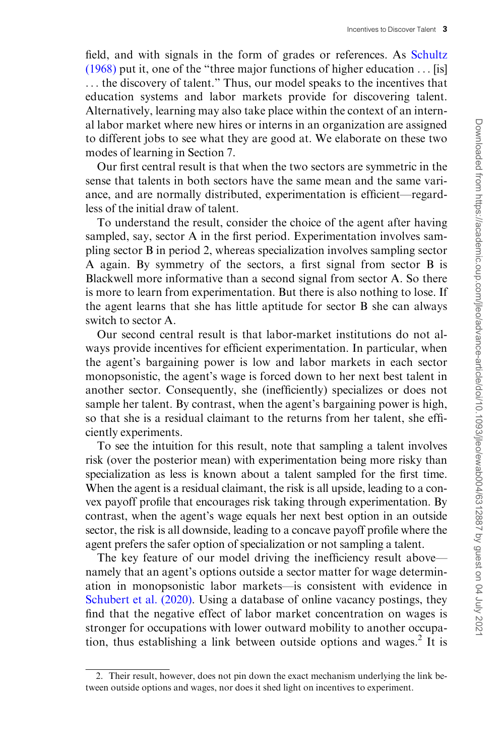field, and with signals in the form of grades or references. As [Schultz](#page-35-0) [\(1968\)](#page-35-0) put it, one of the "three major functions of higher education ... [is] ... the discovery of talent." Thus, our model speaks to the incentives that education systems and labor markets provide for discovering talent. Alternatively, learning may also take place within the context of an internal labor market where new hires or interns in an organization are assigned to different jobs to see what they are good at. We elaborate on these two modes of learning in Section 7.

Our first central result is that when the two sectors are symmetric in the sense that talents in both sectors have the same mean and the same variance, and are normally distributed, experimentation is efficient—regardless of the initial draw of talent.

To understand the result, consider the choice of the agent after having sampled, say, sector A in the first period. Experimentation involves sampling sector B in period 2, whereas specialization involves sampling sector A again. By symmetry of the sectors, a first signal from sector B is Blackwell more informative than a second signal from sector A. So there is more to learn from experimentation. But there is also nothing to lose. If the agent learns that she has little aptitude for sector B she can always switch to sector A.

Our second central result is that labor-market institutions do not always provide incentives for efficient experimentation. In particular, when the agent's bargaining power is low and labor markets in each sector monopsonistic, the agent's wage is forced down to her next best talent in another sector. Consequently, she (inefficiently) specializes or does not sample her talent. By contrast, when the agent's bargaining power is high, so that she is a residual claimant to the returns from her talent, she efficiently experiments.

To see the intuition for this result, note that sampling a talent involves risk (over the posterior mean) with experimentation being more risky than specialization as less is known about a talent sampled for the first time. When the agent is a residual claimant, the risk is all upside, leading to a convex payoff profile that encourages risk taking through experimentation. By contrast, when the agent's wage equals her next best option in an outside sector, the risk is all downside, leading to a concave payoff profile where the agent prefers the safer option of specialization or not sampling a talent.

The key feature of our model driving the inefficiency result above namely that an agent's options outside a sector matter for wage determination in monopsonistic labor markets—is consistent with evidence in [Schubert et al. \(2020\).](#page-35-0) Using a database of online vacancy postings, they find that the negative effect of labor market concentration on wages is stronger for occupations with lower outward mobility to another occupation, thus establishing a link between outside options and wages.<sup>2</sup> It is

<sup>2.</sup> Their result, however, does not pin down the exact mechanism underlying the link between outside options and wages, nor does it shed light on incentives to experiment.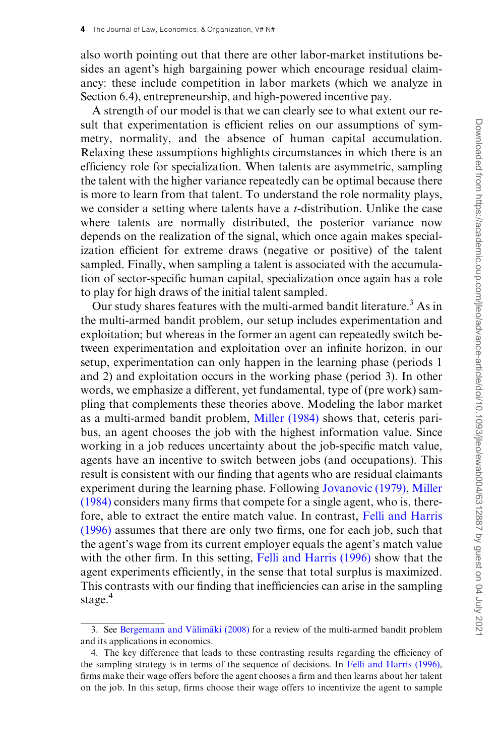also worth pointing out that there are other labor-market institutions besides an agent's high bargaining power which encourage residual claimancy: these include competition in labor markets (which we analyze in Section 6.4), entrepreneurship, and high-powered incentive pay.

A strength of our model is that we can clearly see to what extent our result that experimentation is efficient relies on our assumptions of symmetry, normality, and the absence of human capital accumulation. Relaxing these assumptions highlights circumstances in which there is an efficiency role for specialization. When talents are asymmetric, sampling the talent with the higher variance repeatedly can be optimal because there is more to learn from that talent. To understand the role normality plays, we consider a setting where talents have a t-distribution. Unlike the case where talents are normally distributed, the posterior variance now depends on the realization of the signal, which once again makes specialization efficient for extreme draws (negative or positive) of the talent sampled. Finally, when sampling a talent is associated with the accumulation of sector-specific human capital, specialization once again has a role to play for high draws of the initial talent sampled.

Our study shares features with the multi-armed bandit literature.<sup>3</sup> As in the multi-armed bandit problem, our setup includes experimentation and exploitation; but whereas in the former an agent can repeatedly switch between experimentation and exploitation over an infinite horizon, in our setup, experimentation can only happen in the learning phase (periods 1 and 2) and exploitation occurs in the working phase (period 3). In other words, we emphasize a different, yet fundamental, type of (pre work) sampling that complements these theories above. Modeling the labor market as a multi-armed bandit problem, [Miller \(1984\)](#page-34-0) shows that, ceteris paribus, an agent chooses the job with the highest information value. Since working in a job reduces uncertainty about the job-specific match value, agents have an incentive to switch between jobs (and occupations). This result is consistent with our finding that agents who are residual claimants experiment during the learning phase. Following [Jovanovic \(1979\),](#page-34-0) [Miller](#page-34-0) [\(1984\)](#page-34-0) considers many firms that compete for a single agent, who is, therefore, able to extract the entire match value. In contrast, [Felli and Harris](#page-34-0) [\(1996\)](#page-34-0) assumes that there are only two firms, one for each job, such that the agent's wage from its current employer equals the agent's match value with the other firm. In this setting, [Felli and Harris \(1996\)](#page-34-0) show that the agent experiments efficiently, in the sense that total surplus is maximized. This contrasts with our finding that inefficiencies can arise in the sampling stage.<sup>4</sup>

<sup>3.</sup> See Bergemann and Välimäki  $(2008)$  for a review of the multi-armed bandit problem and its applications in economics.

<sup>4.</sup> The key difference that leads to these contrasting results regarding the efficiency of the sampling strategy is in terms of the sequence of decisions. In [Felli and Harris \(1996\),](#page-34-0) firms make their wage offers before the agent chooses a firm and then learns about her talent on the job. In this setup, firms choose their wage offers to incentivize the agent to sample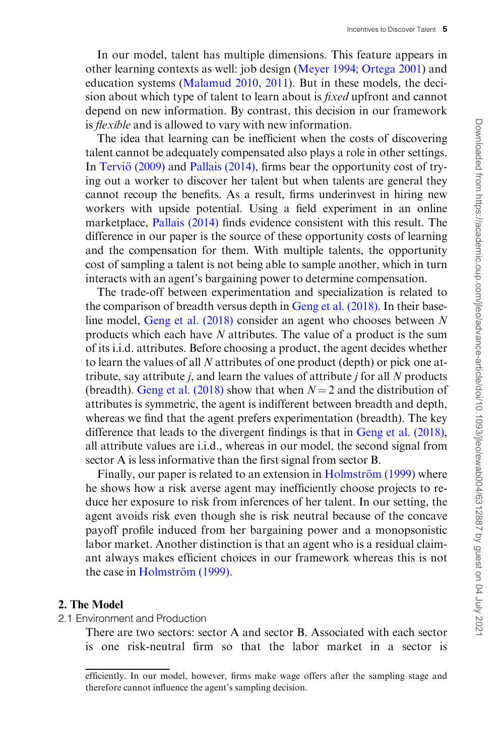In our model, talent has multiple dimensions. This feature appears in other learning contexts as well: job design ([Meyer 1994](#page-34-0); [Ortega 2001](#page-34-0)) and education systems [\(Malamud 2010,](#page-34-0) [2011\)](#page-34-0). But in these models, the decision about which type of talent to learn about is fixed upfront and cannot depend on new information. By contrast, this decision in our framework is *flexible* and is allowed to vary with new information.

The idea that learning can be inefficient when the costs of discovering talent cannot be adequately compensated also plays a role in other settings. In Terviö (2009) and [Pallais \(2014\)](#page-34-0), firms bear the opportunity cost of trying out a worker to discover her talent but when talents are general they cannot recoup the benefits. As a result, firms underinvest in hiring new workers with upside potential. Using a field experiment in an online marketplace, [Pallais \(2014\)](#page-34-0) finds evidence consistent with this result. The difference in our paper is the source of these opportunity costs of learning and the compensation for them. With multiple talents, the opportunity cost of sampling a talent is not being able to sample another, which in turn interacts with an agent's bargaining power to determine compensation.

The trade-off between experimentation and specialization is related to the comparison of breadth versus depth in [Geng et al. \(2018\)](#page-34-0). In their baseline model, [Geng et al. \(2018\)](#page-34-0) consider an agent who chooses between N products which each have N attributes. The value of a product is the sum of its i.i.d. attributes. Before choosing a product, the agent decides whether to learn the values of all N attributes of one product (depth) or pick one attribute, say attribute  $j$ , and learn the values of attribute  $j$  for all  $N$  products (breadth). [Geng et al. \(2018\)](#page-34-0) show that when  $N = 2$  and the distribution of attributes is symmetric, the agent is indifferent between breadth and depth, whereas we find that the agent prefers experimentation (breadth). The key difference that leads to the divergent findings is that in [Geng et al. \(2018\)](#page-34-0), all attribute values are i.i.d., whereas in our model, the second signal from sector A is less informative than the first signal from sector B.

Finally, our paper is related to an extension in Holmström (1999) where he shows how a risk averse agent may inefficiently choose projects to reduce her exposure to risk from inferences of her talent. In our setting, the agent avoids risk even though she is risk neutral because of the concave payoff profile induced from her bargaining power and a monopsonistic labor market. Another distinction is that an agent who is a residual claimant always makes efficient choices in our framework whereas this is not the case in Holmström (1999).

#### 2. The Model

2.1 Environment and Production

There are two sectors: sector A and sector B. Associated with each sector is one risk-neutral firm so that the labor market in a sector is

efficiently. In our model, however, firms make wage offers after the sampling stage and therefore cannot influence the agent's sampling decision.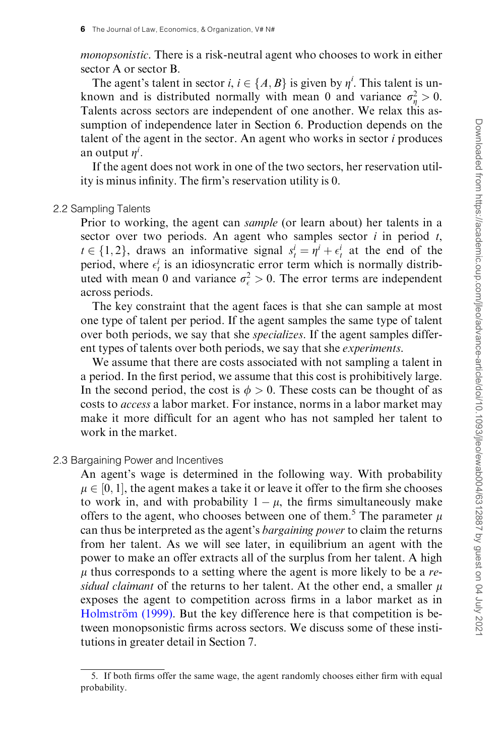monopsonistic. There is a risk-neutral agent who chooses to work in either sector A or sector B.

The agent's talent in sector *i*,  $i \in \{A, B\}$  is given by  $\eta^i$ . This talent is unknown and is distributed normally with mean 0 and variance  $\sigma_{\eta}^2 > 0$ . Talents across sectors are independent of one another. We relax this assumption of independence later in Section 6. Production depends on the talent of the agent in the sector. An agent who works in sector  $i$  produces an output  $\eta^i$ .

If the agent does not work in one of the two sectors, her reservation utility is minus infinity. The firm's reservation utility is 0.

#### 2.2 Sampling Talents

Prior to working, the agent can sample (or learn about) her talents in a sector over two periods. An agent who samples sector  $i$  in period  $t$ ,  $t \in \{1, 2\}$ , draws an informative signal  $s_t^i = \eta^i + \epsilon_t^i$  at the end of the period, where  $\epsilon_t^i$  is an idiosyncratic error term which is normally distributed with mean 0 and variance  $\sigma_{\epsilon}^2 > 0$ . The error terms are independent across periods.

The key constraint that the agent faces is that she can sample at most one type of talent per period. If the agent samples the same type of talent over both periods, we say that she specializes. If the agent samples different types of talents over both periods, we say that she experiments.

We assume that there are costs associated with not sampling a talent in a period. In the first period, we assume that this cost is prohibitively large. In the second period, the cost is  $\phi > 0$ . These costs can be thought of as costs to access a labor market. For instance, norms in a labor market may make it more difficult for an agent who has not sampled her talent to work in the market.

## 2.3 Bargaining Power and Incentives

An agent's wage is determined in the following way. With probability  $\mu \in [0,1],$  the agent makes a take it or leave it offer to the firm she chooses to work in, and with probability  $1 - \mu$ , the firms simultaneously make offers to the agent, who chooses between one of them.<sup>5</sup> The parameter  $\mu$ can thus be interpreted as the agent's bargaining power to claim the returns from her talent. As we will see later, in equilibrium an agent with the power to make an offer extracts all of the surplus from her talent. A high  $\mu$  thus corresponds to a setting where the agent is more likely to be a residual claimant of the returns to her talent. At the other end, a smaller  $\mu$ exposes the agent to competition across firms in a labor market as in Holmström (1999). But the key difference here is that competition is between monopsonistic firms across sectors. We discuss some of these institutions in greater detail in Section 7.

<sup>5.</sup> If both firms offer the same wage, the agent randomly chooses either firm with equal probability.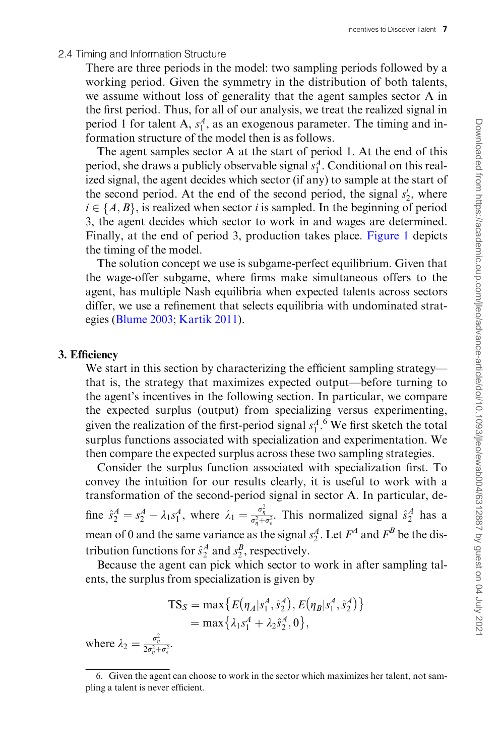#### 2.4 Timing and Information Structure

There are three periods in the model: two sampling periods followed by a working period. Given the symmetry in the distribution of both talents, we assume without loss of generality that the agent samples sector A in the first period. Thus, for all of our analysis, we treat the realized signal in period 1 for talent A,  $s_1^A$ , as an exogenous parameter. The timing and information structure of the model then is as follows.

The agent samples sector A at the start of period 1. At the end of this period, she draws a publicly observable signal  $s_1^A$ . Conditional on this realized signal, the agent decides which sector (if any) to sample at the start of the second period. At the end of the second period, the signal  $s_2^i$ , where  $i \in \{A, B\}$ , is realized when sector i is sampled. In the beginning of period 3, the agent decides which sector to work in and wages are determined. Finally, at the end of period 3, production takes place. [Figure 1](#page-7-0) depicts the timing of the model.

The solution concept we use is subgame-perfect equilibrium. Given that the wage-offer subgame, where firms make simultaneous offers to the agent, has multiple Nash equilibria when expected talents across sectors differ, we use a refinement that selects equilibria with undominated strategies [\(Blume 2003;](#page-34-0) [Kartik 2011](#page-34-0)).

#### 3. Efficiency

We start in this section by characterizing the efficient sampling strategy that is, the strategy that maximizes expected output—before turning to the agent's incentives in the following section. In particular, we compare the expected surplus (output) from specializing versus experimenting, given the realization of the first-period signal  $s_1^A$ .<sup>6</sup> We first sketch the total surplus functions associated with specialization and experimentation. We then compare the expected surplus across these two sampling strategies.

Consider the surplus function associated with specialization first. To convey the intuition for our results clearly, it is useful to work with a transformation of the second-period signal in sector A. In particular, define  $\hat{s}_2^A = s_2^A - \lambda_1 s_1^A$ , where  $\lambda_1 = \frac{\sigma_\eta^2}{\sigma_\eta^2 + \sigma_\epsilon^2}$ . This normalized signal  $\hat{s}_2^A$  has a mean of 0 and the same variance as the signal  $s_2^A$ . Let  $F^A$  and  $F^B$  be the distribution functions for  $\hat{s}_2^A$  and  $s_2^B$ , respectively.

Because the agent can pick which sector to work in after sampling talents, the surplus from specialization is given by

$$
TS_S = \max \{ E(\eta_A | s_1^A, \hat{s}_2^A), E(\eta_B | s_1^A, \hat{s}_2^A) \}
$$
  
= 
$$
\max \{ \lambda_1 s_1^A + \lambda_2 \hat{s}_2^A, 0 \},
$$

where  $\lambda_2 = \frac{\sigma_\eta^2}{2\sigma_\eta^2 + \sigma_\epsilon^2}$ .

<sup>6.</sup> Given the agent can choose to work in the sector which maximizes her talent, not sampling a talent is never efficient.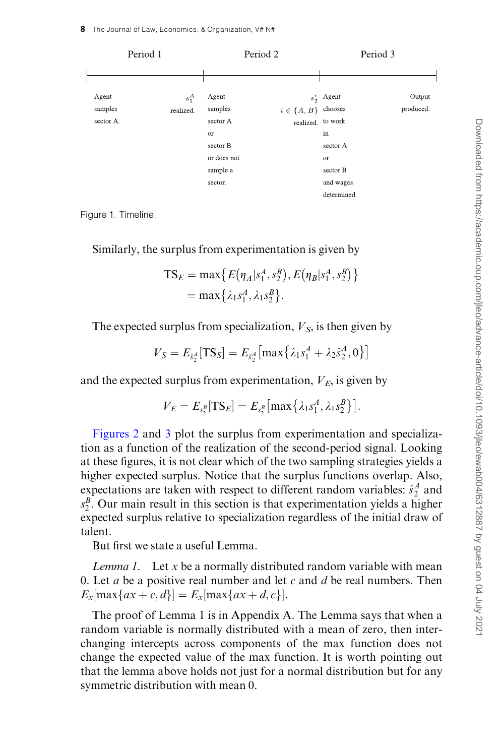<span id="page-7-0"></span>

Figure 1. Timeline.

Similarly, the surplus from experimentation is given by

$$
TS_E = \max \{ E(\eta_A | s_1^A, s_2^B), E(\eta_B | s_1^A, s_2^B) \}
$$
  
= 
$$
\max \{ \lambda_1 s_1^A, \lambda_1 s_2^B \}.
$$

The expected surplus from specialization,  $V<sub>S</sub>$ , is then given by

$$
V_S = E_{\hat{s}_2^A}[\text{TS}_S] = E_{\hat{s}_2^A}[\max\{\lambda_1 s_1^A + \lambda_2 \hat{s}_2^A, 0\}]
$$

and the expected surplus from experimentation,  $V_E$ , is given by

$$
V_E = E_{s_2^B}[\text{TS}_E] = E_{s_2^B}[\max\{\lambda_1 s_1^A, \lambda_1 s_2^B\}].
$$

[Figures 2](#page-8-0) and [3](#page-8-0) plot the surplus from experimentation and specialization as a function of the realization of the second-period signal. Looking at these figures, it is not clear which of the two sampling strategies yields a higher expected surplus. Notice that the surplus functions overlap. Also, expectations are taken with respect to different random variables:  $\hat{s}_2^A$  and  $s_2^B$ . Our main result in this section is that experimentation yields a higher expected surplus relative to specialization regardless of the initial draw of talent.

But first we state a useful Lemma.

*Lemma 1.* Let  $x$  be a normally distributed random variable with mean 0. Let a be a positive real number and let c and d be real numbers. Then  $E_x$ [max{*ax* + *c*, *d*}] =  $E_x$ [max{*ax* + *d*, *c*}].

The proof of Lemma 1 is in Appendix A. The Lemma says that when a random variable is normally distributed with a mean of zero, then interchanging intercepts across components of the max function does not change the expected value of the max function. It is worth pointing out that the lemma above holds not just for a normal distribution but for any symmetric distribution with mean 0.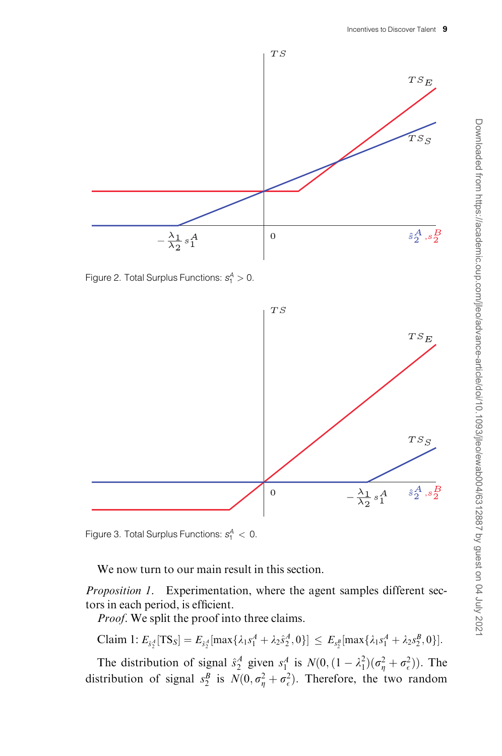<span id="page-8-0"></span>

Figure 2. Total Surplus Functions:  $s_1^A > 0$ .



Figure 3. Total Surplus Functions:  $s_1^A < 0$ .

We now turn to our main result in this section.

Proposition 1. Experimentation, where the agent samples different sectors in each period, is efficient.

Proof. We split the proof into three claims.

Claim 1: 
$$
E_{\tilde{s}_2^A}[\text{TS}_S] = E_{\tilde{s}_2^A}[\max\{\lambda_1 s_1^A + \lambda_2 s_2^A, 0\}] \leq E_{s_2^B}[\max\{\lambda_1 s_1^A + \lambda_2 s_2^B, 0\}].
$$

The distribution of signal  $\hat{s}_2^A$  given  $s_1^A$  is  $N(0, (1 - \lambda_1^2)(\sigma_\eta^2 + \sigma_\epsilon^2))$ . The distribution of signal  $s_2^B$  is  $N(0, \sigma_\eta^2 + \sigma_\epsilon^2)$ . Therefore, the two random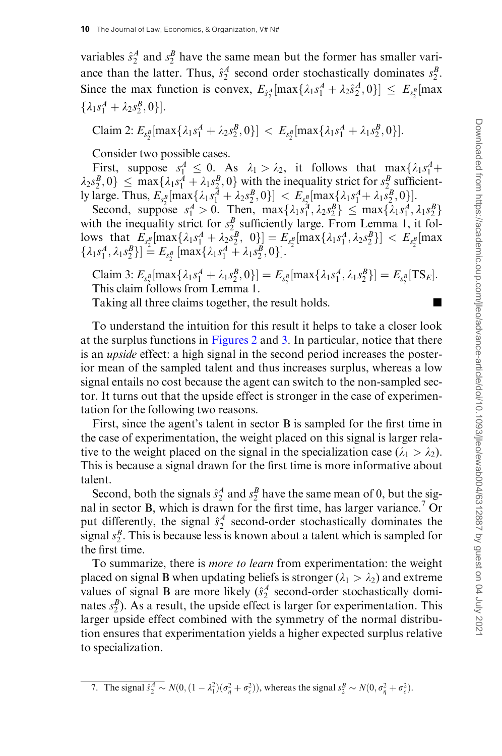variables  $\hat{s}_2^A$  and  $s_2^B$  have the same mean but the former has smaller variance than the latter. Thus,  $\hat{s}_2^A$  second order stochastically dominates  $s_2^B$ . Since the max function is convex,  $E_{\delta_2^A}[\max\{\lambda_1 s_1^A + \lambda_2 s_2^A, 0\}] \le E_{s_2^B}[\max]$  $\{\lambda_1 s_1^A + \lambda_2 s_2^B, 0\}.$ 

Claim 2: 
$$
E_{s_2^B}[\max{\lambda_1 s_1^A + \lambda_2 s_2^B, 0}] < E_{s_2^B}[\max{\lambda_1 s_1^A + \lambda_1 s_2^B, 0}]
$$
.

Consider two possible cases.

First, suppose  $s_1^A \leq 0$ . As  $\lambda_1 > \lambda_2$ , it follows that  $\max\{\lambda_1 s_1^A +$  $\lambda_2 s_2^B$ ,  $0 \leq \max\{\lambda_1 s_1^A + \lambda_1 s_2^B, 0\}$  with the inequality strict for  $s_2^B$  sufficiently large. Thus,  $E_{s_2^B}[\max\{\lambda_1s_1^A+\lambda_2s_2^B,0\}] < E_{s_2^B}[\max\{\lambda_1s_1^A+\lambda_1s_2^B,0\}].$ 

Second, suppose  $s_1^A > 0$ . Then,  $\max\{\lambda_1 s_1^A, \lambda_2 s_2^B\} \le \max\{\lambda_1 s_1^A, \lambda_1 s_2^B\}$ with the inequality strict for  $s_2^B$  sufficiently large. From Lemma 1, it fol- $\left[\text{loss that } E_{sB}[\max\{\lambda_1 s_1^A + \lambda_2 s_2^B, 0\}] = E_{sB}[\max\{\lambda_1 s_1^A, \lambda_2 s_2^B\}] < E_{sB}[\max\{\lambda_1 s_1^A, \lambda_2 s_2^B\}]$  $\{\lambda_1 s_1^A, \lambda_1 s_2^B\}$  =  $E_{s_2^B}$  [max $\{\lambda_1 s_1^A + \lambda_1 s_2^B, 0\}$ ].

Claim 3:  $E_{s_p^B}[\max{\{\lambda_1 s_1^A + \lambda_1 s_2^B, 0\}}] = E_{s_2^B}[\max{\{\lambda_1 s_1^A, \lambda_1 s_2^B\}}] = E_{s_2^B}[\text{TS}_E].$ This claim follows from Lemma 1.

Taking all three claims together, the result holds.

To understand the intuition for this result it helps to take a closer look at the surplus functions in [Figures 2](#page-8-0) and [3.](#page-8-0) In particular, notice that there is an upside effect: a high signal in the second period increases the posterior mean of the sampled talent and thus increases surplus, whereas a low signal entails no cost because the agent can switch to the non-sampled sector. It turns out that the upside effect is stronger in the case of experimentation for the following two reasons.

First, since the agent's talent in sector B is sampled for the first time in the case of experimentation, the weight placed on this signal is larger relative to the weight placed on the signal in the specialization case  $(\lambda_1 > \lambda_2)$ . This is because a signal drawn for the first time is more informative about talent.

Second, both the signals  $\hat{s}_2^A$  and  $s_2^B$  have the same mean of 0, but the signal in sector B, which is drawn for the first time, has larger variance.<sup>7</sup> Or put differently, the signal  $\hat{s}_2^A$  second-order stochastically dominates the signal  $s_2^B$ . This is because less is known about a talent which is sampled for the first time.

To summarize, there is more to learn from experimentation: the weight placed on signal B when updating beliefs is stronger ( $\lambda_1 > \lambda_2$ ) and extreme values of signal B are more likely  $(\hat{s}_2^A$  second-order stochastically dominates  $s_2^B$ ). As a result, the upside effect is larger for experimentation. This larger upside effect combined with the symmetry of the normal distribution ensures that experimentation yields a higher expected surplus relative to specialization.

<sup>7.</sup> The signal  $\hat{s}_2^A \sim N(0, (1 - \lambda_1^2)(\sigma_\eta^2 + \sigma_\epsilon^2))$ , whereas the signal  $s_2^B \sim N(0, \sigma_\eta^2 + \sigma_\epsilon^2)$ .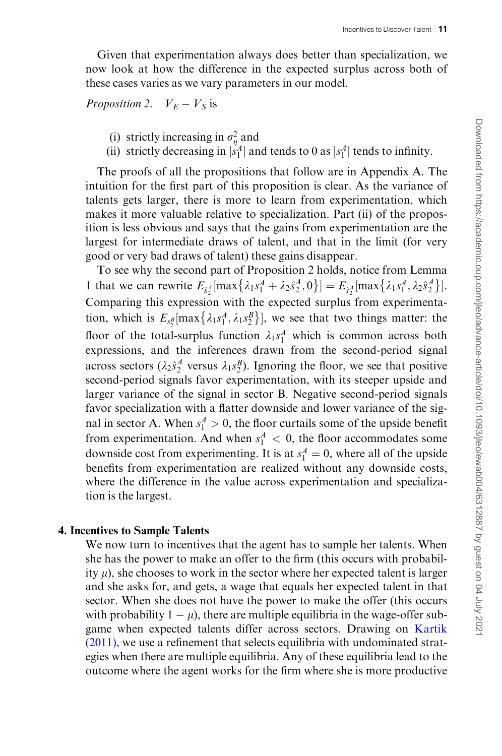Given that experimentation always does better than specialization, we now look at how the difference in the expected surplus across both of these cases varies as we vary parameters in our model.

# Proposition 2.  $V_E - V_S$  is

- (i) strictly increasing in  $\sigma_{\eta}^2$  and
- (ii) strictly decreasing in  $|s_1|^A$  and tends to 0 as  $|s_1|^A$  tends to infinity.

The proofs of all the propositions that follow are in Appendix A. The intuition for the first part of this proposition is clear. As the variance of talents gets larger, there is more to learn from experimentation, which makes it more valuable relative to specialization. Part (ii) of the proposition is less obvious and says that the gains from experimentation are the largest for intermediate draws of talent, and that in the limit (for very good or very bad draws of talent) these gains disappear.

To see why the second part of Proposition 2 holds, notice from Lemma 1 that we can rewrite  $E_{s_2^A}$  [max  $\{\lambda_1 s_1^A + \lambda_2 s_2^A, 0\}$ ] =  $E_{s_2^A}$  [max  $\{\lambda_1 s_1^A, \lambda_2 s_2^A\}$ ]. Comparing this expression with the expected surplus from experimentation, which is  $E_{s_2^B}$ [max $\{\lambda_1 s_1^A, \lambda_1 s_2^B\}$ ], we see that two things matter: the floor of the total-surplus function  $\lambda_1 s_1^A$  which is common across both expressions, and the inferences drawn from the second-period signal across sectors ( $\lambda_2 \hat{s}_2^A$  versus  $\lambda_1 s_2^B$ ). Ignoring the floor, we see that positive second-period signals favor experimentation, with its steeper upside and larger variance of the signal in sector B. Negative second-period signals favor specialization with a flatter downside and lower variance of the signal in sector A. When  $s_1^A > 0$ , the floor curtails some of the upside benefit from experimentation. And when  $s_1^A < 0$ , the floor accommodates some downside cost from experimenting. It is at  $s_1^A = 0$ , where all of the upside benefits from experimentation are realized without any downside costs, where the difference in the value across experimentation and specialization is the largest.

## 4. Incentives to Sample Talents

We now turn to incentives that the agent has to sample her talents. When she has the power to make an offer to the firm (this occurs with probability  $\mu$ ), she chooses to work in the sector where her expected talent is larger and she asks for, and gets, a wage that equals her expected talent in that sector. When she does not have the power to make the offer (this occurs with probability  $1 - \mu$ ), there are multiple equilibria in the wage-offer subgame when expected talents differ across sectors. Drawing on [Kartik](#page-34-0) [\(2011\),](#page-34-0) we use a refinement that selects equilibria with undominated strategies when there are multiple equilibria. Any of these equilibria lead to the outcome where the agent works for the firm where she is more productive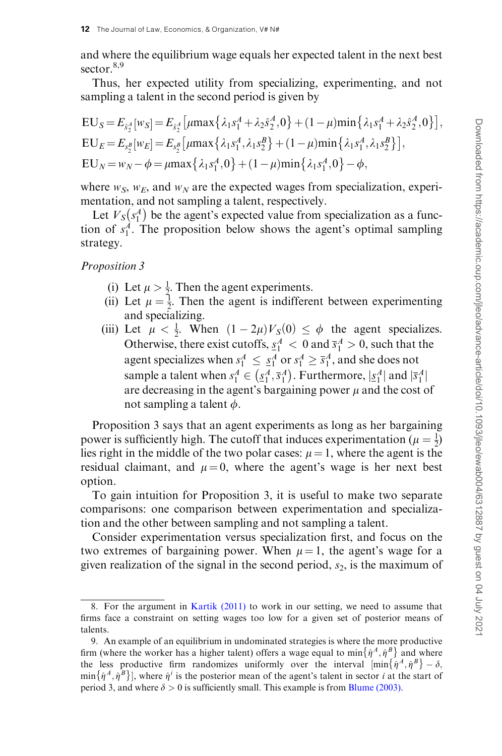and where the equilibrium wage equals her expected talent in the next best sector  $8,9$ 

Thus, her expected utility from specializing, experimenting, and not sampling a talent in the second period is given by

$$
EU_S = E_{\hat{s}_2^A}[w_S] = E_{\hat{s}_2^A}[\mu \max\{\lambda_1 s_1^A + \lambda_2 \hat{s}_2^A, 0\} + (1 - \mu) \min\{\lambda_1 s_1^A + \lambda_2 \hat{s}_2^A, 0\}],
$$
  
\n
$$
EU_E = E_{s_2^B}[w_E] = E_{s_2^B}[\mu \max\{\lambda_1 s_1^A, \lambda_1 s_2^B\} + (1 - \mu) \min\{\lambda_1 s_1^A, \lambda_1 s_2^B\}],
$$
  
\n
$$
EU_N = w_N - \phi = \mu \max\{\lambda_1 s_1^A, 0\} + (1 - \mu) \min\{\lambda_1 s_1^A, 0\} - \phi,
$$

where  $w_S$ ,  $w_E$ , and  $w_N$  are the expected wages from specialization, experimentation, and not sampling a talent, respectively.

Let  $V_S$   $\left(s_1^A\right)$  $(s_1^A)$  be the agent's expected value from specialization as a function of  $s_1^A$ . The proposition below shows the agent's optimal sampling strategy.

Proposition 3

- (i) Let  $\mu > \frac{1}{2}$ . Then the agent experiments.
- (ii) Let  $\mu = \frac{1}{2}$ . Then the agent is indifferent between experimenting and specializing.
- (iii) Let  $\mu < \frac{1}{2}$ . When  $(1 2\mu)V_S(0) \leq \phi$  the agent specializes. Otherwise, there exist cutoffs,  $s_1^A < 0$  and  $\bar{s}_1^A > 0$ , such that the agent specializes when  $s_1^A \leq s_1^A$  or  $s_1^A \geq \overline{s}_1^A$ , and she does not sample a talent when  $s_1^A \in (\underline{s}_1^A, \overline{s}_1^A)$  $\left( \underline{s}_1^A, \overline{s}_1^A \right)$ . Furthermore,  $|\underline{s}_1^A|$  and  $|\overline{s}_1^A|$ are decreasing in the agent's bargaining power  $\mu$  and the cost of not sampling a talent  $\phi$ .

Proposition 3 says that an agent experiments as long as her bargaining power is sufficiently high. The cutoff that induces experimentation ( $\mu = \frac{1}{2}$ ) lies right in the middle of the two polar cases:  $\mu = 1$ , where the agent is the residual claimant, and  $\mu = 0$ , where the agent's wage is her next best option.

To gain intuition for Proposition 3, it is useful to make two separate comparisons: one comparison between experimentation and specialization and the other between sampling and not sampling a talent.

Consider experimentation versus specialization first, and focus on the two extremes of bargaining power. When  $\mu = 1$ , the agent's wage for a given realization of the signal in the second period,  $s_2$ , is the maximum of

<sup>8.</sup> For the argument in [Kartik \(2011\)](#page-34-0) to work in our setting, we need to assume that firms face a constraint on setting wages too low for a given set of posterior means of talents.

<sup>9.</sup> An example of an equilibrium in undominated strategies is where the more productive firm (where the worker has a higher talent) offers a wage equal to  $\min \{ \hat{\eta}^A, \hat{\eta}^B \}$  and where the less productive firm randomizes uniformly over the interval  $[\min \{ \hat{\eta}^A, \hat{\eta}^B \} - \delta,$ min  $\{\hat{\eta}^A,\hat{\eta}^B\}$ , where  $\hat{\eta}^i$  is the posterior mean of the agent's talent in sector *i* at the start of period 3, and where  $\delta > 0$  is sufficiently small. This example is from [Blume \(2003\)](#page-34-0).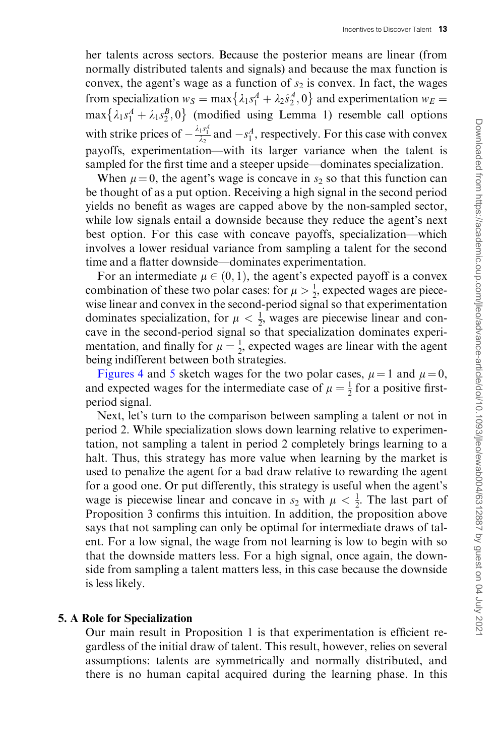her talents across sectors. Because the posterior means are linear (from normally distributed talents and signals) and because the max function is convex, the agent's wage as a function of  $s_2$  is convex. In fact, the wages from specialization  $w_S = \max\{\lambda_1 s_1^A + \lambda_2 s_2^A, 0\}$  and experimentation  $w_E =$  $\max{\lambda_1 s_1^A + \lambda_1 s_2^B, 0}$  (modified using Lemma 1) resemble call options with strike prices of  $-\frac{\lambda_1 s_1^4}{\lambda_2}$  and  $-s_1^A$ , respectively. For this case with convex payoffs, experimentation—with its larger variance when the talent is sampled for the first time and a steeper upside—dominates specialization.

When  $\mu = 0$ , the agent's wage is concave in  $s_2$  so that this function can be thought of as a put option. Receiving a high signal in the second period yields no benefit as wages are capped above by the non-sampled sector, while low signals entail a downside because they reduce the agent's next best option. For this case with concave payoffs, specialization—which involves a lower residual variance from sampling a talent for the second time and a flatter downside—dominates experimentation.

For an intermediate  $\mu \in (0, 1)$ , the agent's expected payoff is a convex combination of these two polar cases: for  $\mu > \frac{1}{2}$ , expected wages are piecewise linear and convex in the second-period signal so that experimentation dominates specialization, for  $\mu < \frac{1}{2}$ , wages are piecewise linear and concave in the second-period signal so that specialization dominates experimentation, and finally for  $\mu = \frac{1}{2}$ , expected wages are linear with the agent being indifferent between both strategies.

[Figures 4](#page-13-0) and [5](#page-13-0) sketch wages for the two polar cases,  $\mu = 1$  and  $\mu = 0$ , and expected wages for the intermediate case of  $\mu = \frac{1}{2}$  for a positive firstperiod signal.

Next, let's turn to the comparison between sampling a talent or not in period 2. While specialization slows down learning relative to experimentation, not sampling a talent in period 2 completely brings learning to a halt. Thus, this strategy has more value when learning by the market is used to penalize the agent for a bad draw relative to rewarding the agent for a good one. Or put differently, this strategy is useful when the agent's wage is piecewise linear and concave in  $s_2$  with  $\mu < \frac{1}{2}$ . The last part of Proposition 3 confirms this intuition. In addition, the proposition above says that not sampling can only be optimal for intermediate draws of talent. For a low signal, the wage from not learning is low to begin with so that the downside matters less. For a high signal, once again, the downside from sampling a talent matters less, in this case because the downside is less likely.

## 5. A Role for Specialization

Our main result in Proposition 1 is that experimentation is efficient regardless of the initial draw of talent. This result, however, relies on several assumptions: talents are symmetrically and normally distributed, and there is no human capital acquired during the learning phase. In this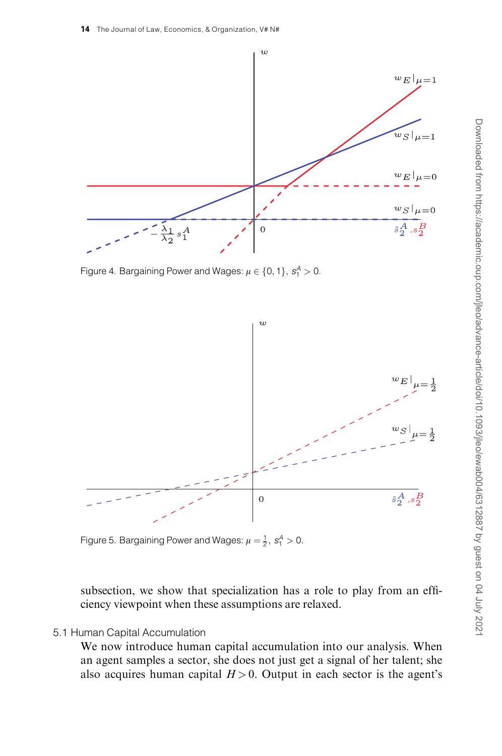<span id="page-13-0"></span>

Figure 4. Bargaining Power and Wages:  $\mu \in \{0, 1\}, s_1^A > 0$ .



Figure 5. Bargaining Power and Wages:  $\mu = \frac{1}{2}, s_1^A > 0$ .

subsection, we show that specialization has a role to play from an efficiency viewpoint when these assumptions are relaxed.

## 5.1 Human Capital Accumulation

We now introduce human capital accumulation into our analysis. When an agent samples a sector, she does not just get a signal of her talent; she also acquires human capital  $H > 0$ . Output in each sector is the agent's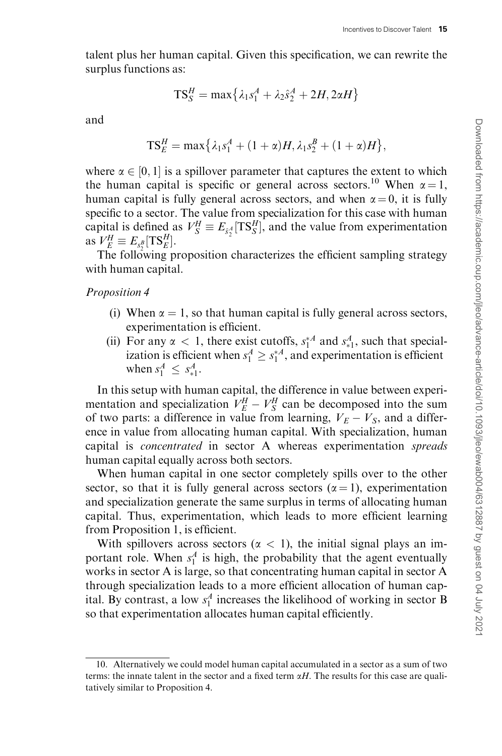talent plus her human capital. Given this specification, we can rewrite the surplus functions as:

$$
TS_S^H = \max\left\{\lambda_1 s_1^A + \lambda_2 \hat{s}_2^A + 2H, 2\alpha H\right\}
$$

and

$$
TS_E^H = \max\{\lambda_1 s_1^A + (1 + \alpha)H, \lambda_1 s_2^B + (1 + \alpha)H\},\
$$

where  $\alpha \in [0, 1]$  is a spillover parameter that captures the extent to which the human capital is specific or general across sectors.<sup>10</sup> When  $\alpha = 1$ , human capital is fully general across sectors, and when  $\alpha = 0$ , it is fully specific to a sector. The value from specialization for this case with human capital is defined as  $V_S^H \equiv E_{\hat{s}_2^A}[\text{TS}_S^H]$ , and the value from experimentation as  $V_E^H \equiv E_{s_2^B}[\text{TS}_E^H]$ .

The following proposition characterizes the efficient sampling strategy with human capital.

Proposition 4

- (i) When  $\alpha = 1$ , so that human capital is fully general across sectors, experimentation is efficient.
- (ii) For any  $\alpha$  < 1, there exist cutoffs,  $s_1^{*A}$  and  $s_{*1}^A$ , such that specialization is efficient when  $s_1^A \geq s_1^{*A}$ , and experimentation is efficient when  $s_1^A \leq s_{*1}^A$ .

In this setup with human capital, the difference in value between experimentation and specialization  $V_E^H - V_S^H$  can be decomposed into the sum of two parts: a difference in value from learning,  $V_E - V_S$ , and a difference in value from allocating human capital. With specialization, human capital is concentrated in sector A whereas experimentation spreads human capital equally across both sectors.

When human capital in one sector completely spills over to the other sector, so that it is fully general across sectors ( $\alpha = 1$ ), experimentation and specialization generate the same surplus in terms of allocating human capital. Thus, experimentation, which leads to more efficient learning from Proposition 1, is efficient.

With spillovers across sectors ( $\alpha$  < 1), the initial signal plays an important role. When  $s_1^A$  is high, the probability that the agent eventually works in sector A is large, so that concentrating human capital in sector A through specialization leads to a more efficient allocation of human capital. By contrast, a low  $s_1^A$  increases the likelihood of working in sector B so that experimentation allocates human capital efficiently.

<sup>10.</sup> Alternatively we could model human capital accumulated in a sector as a sum of two terms: the innate talent in the sector and a fixed term  $\alpha H$ . The results for this case are qualitatively similar to Proposition 4.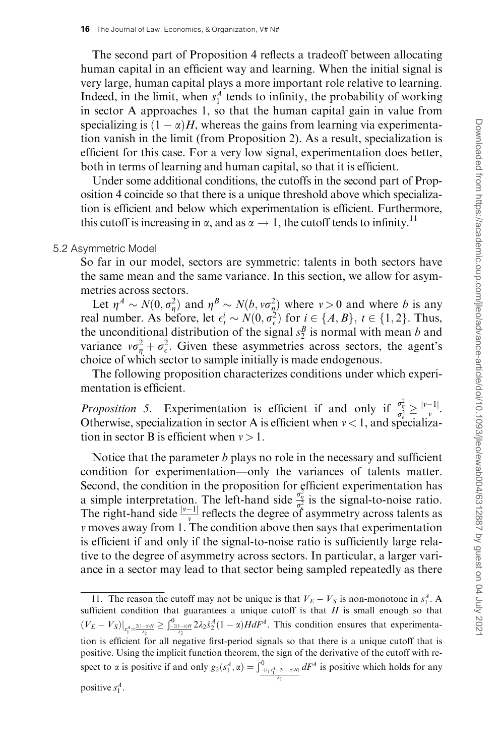The second part of Proposition 4 reflects a tradeoff between allocating human capital in an efficient way and learning. When the initial signal is very large, human capital plays a more important role relative to learning. Indeed, in the limit, when  $s_1^A$  tends to infinity, the probability of working in sector A approaches 1, so that the human capital gain in value from specializing is  $(1 - \alpha)H$ , whereas the gains from learning via experimentation vanish in the limit (from Proposition 2). As a result, specialization is efficient for this case. For a very low signal, experimentation does better, both in terms of learning and human capital, so that it is efficient.

Under some additional conditions, the cutoffs in the second part of Proposition 4 coincide so that there is a unique threshold above which specialization is efficient and below which experimentation is efficient. Furthermore, this cutoff is increasing in  $\alpha$ , and as  $\alpha \rightarrow 1$ , the cutoff tends to infinity.<sup>11</sup>

## 5.2 Asymmetric Model

So far in our model, sectors are symmetric: talents in both sectors have the same mean and the same variance. In this section, we allow for asymmetries across sectors.

Let  $\eta^A \sim N(0, \sigma_{\eta}^2)$  and  $\eta^B \sim N(b, v\sigma_{\eta}^2)$  where  $v > 0$  and where b is any real number. As before, let  $\epsilon_t^i \sim N(0, \sigma_{\epsilon}^2)$  for  $i \in \{A, B\}$ ,  $t \in \{1, 2\}$ . Thus, the unconditional distribution of the signal  $s_2^B$  is normal with mean b and variance  $v\sigma_{\eta}^2 + \sigma_{\epsilon}^2$ . Given these asymmetries across sectors, the agent's choice of which sector to sample initially is made endogenous.

The following proposition characterizes conditions under which experimentation is efficient.

*Proposition 5.* Experimentation is efficient if and only if  $\frac{\sigma_{\eta}^2}{\sigma_{\epsilon}^2} \ge \frac{|v-1|}{v}$ . Otherwise, specialization in sector A is efficient when  $\nu < 1$ , and specialization in sector B is efficient when  $v > 1$ .

Notice that the parameter  $b$  plays no role in the necessary and sufficient condition for experimentation—only the variances of talents matter. Second, the condition in the proposition for efficient experimentation has a simple interpretation. The left-hand side  $\frac{\sigma_{\pi}^2}{\sigma_{\hat{\lambda}}^2}$  is the signal-to-noise ratio. The right-hand side  $\frac{|v-1|}{v}$  reflects the degree of asymmetry across talents as v moves away from 1. The condition above then says that experimentation is efficient if and only if the signal-to-noise ratio is sufficiently large relative to the degree of asymmetry across sectors. In particular, a larger variance in a sector may lead to that sector being sampled repeatedly as there

<sup>11.</sup> The reason the cutoff may not be unique is that  $V_E - V_S$  is non-monotone in  $s_1^A$ . A sufficient condition that guarantees a unique cutoff is that  $H$  is small enough so that  $(V_E - V_S)|_{S_1^4 = \frac{2(1-\alpha)H}{\lambda_2}} \geq \int_{-\frac{2(1-\alpha)H}{\lambda_2}}^0 2\lambda_2 \hat{s}_2^A (1-\alpha) H dF^A$ . This condition ensures that experimentation is efficient for all negative first-period signals so that there is a unique cutoff that is positive. Using the implicit function theorem, the sign of the derivative of the cutoff with respect to  $\alpha$  is positive if and only  $g_2(s_1^A, \alpha) = \int_{\frac{-(\lambda_1 s_1^A + 2(1-\alpha)H)}{\lambda_2}}^0$  $dF<sup>A</sup>$  is positive which holds for any positive  $s_1^A$ .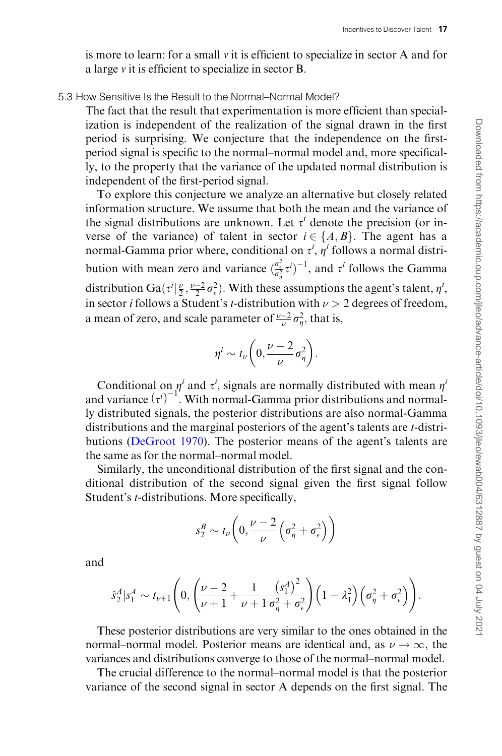is more to learn: for a small  $\nu$  it is efficient to specialize in sector A and for a large v it is efficient to specialize in sector B.

## 5.3 How Sensitive Is the Result to the Normal–Normal Model?

The fact that the result that experimentation is more efficient than specialization is independent of the realization of the signal drawn in the first period is surprising. We conjecture that the independence on the firstperiod signal is specific to the normal–normal model and, more specifically, to the property that the variance of the updated normal distribution is independent of the first-period signal.

To explore this conjecture we analyze an alternative but closely related information structure. We assume that both the mean and the variance of the signal distributions are unknown. Let  $\tau^i$  denote the precision (or inverse of the variance) of talent in sector  $i \in \{A, B\}$ . The agent has a normal-Gamma prior where, conditional on  $\tau^i$ ,  $\eta^i$  follows a normal distribution with mean zero and variance  $\left(\frac{\sigma_{\epsilon}^2}{\sigma_{\eta}^2} \tau^i\right)^{-1}$ , and  $\tau^i$  follows the Gamma distribution Ga( $\tau^i | \frac{\nu}{2}, \frac{\nu - 2}{2} \sigma_\epsilon^2$ ). With these assumptions the agent's talent,  $\eta^i$ , in sector *i* follows a Student's *t*-distribution with  $\nu > 2$  degrees of freedom, a mean of zero, and scale parameter of  $\frac{\nu-2}{\nu}\sigma_{\eta}^2$ , that is,

$$
\eta^i \sim t_\nu \bigg( 0, \frac{\nu - 2}{\nu} \sigma_\eta^2 \bigg).
$$

Conditional on  $\eta^i$  and  $\tau^i$ , signals are normally distributed with mean  $\eta^i$ and variance  $(\tau^{i})^{-1}$ . With normal-Gamma prior distributions and normally distributed signals, the posterior distributions are also normal-Gamma distributions and the marginal posteriors of the agent's talents are *t*-distributions [\(DeGroot 1970\)](#page-34-0). The posterior means of the agent's talents are the same as for the normal–normal model.

Similarly, the unconditional distribution of the first signal and the conditional distribution of the second signal given the first signal follow Student's t-distributions. More specifically,

$$
s_2^B \sim t_\nu \bigg( 0, \frac{\nu - 2}{\nu} \Big( \sigma_\eta^2 + \sigma_\epsilon^2 \Big) \bigg)
$$

and

$$
\hat{s}_2^A | s_1^A \sim t_{\nu+1} \left( 0, \left( \frac{\nu-2}{\nu+1} + \frac{1}{\nu+1} \frac{\left( s_1^A \right)^2}{\sigma_{\eta}^2 + \sigma_{\epsilon}^2} \right) \left( 1 - \lambda_1^2 \right) \left( \sigma_{\eta}^2 + \sigma_{\epsilon}^2 \right) \right).
$$

These posterior distributions are very similar to the ones obtained in the normal–normal model. Posterior means are identical and, as  $\nu \rightarrow \infty$ , the variances and distributions converge to those of the normal–normal model.

The crucial difference to the normal–normal model is that the posterior variance of the second signal in sector A depends on the first signal. The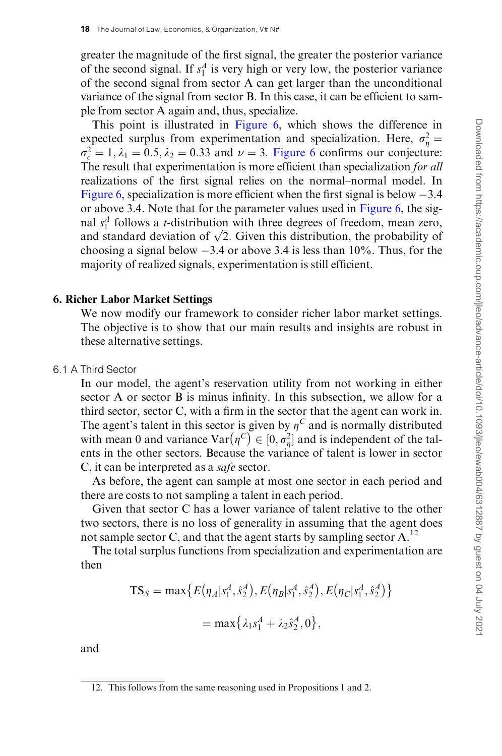greater the magnitude of the first signal, the greater the posterior variance of the second signal. If  $s_1^A$  is very high or very low, the posterior variance of the second signal from sector A can get larger than the unconditional variance of the signal from sector B. In this case, it can be efficient to sample from sector A again and, thus, specialize.

This point is illustrated in [Figure 6](#page-18-0), which shows the difference in expected surplus from experimentation and specialization. Here,  $\sigma_{\eta}^2 =$  $\sigma_{\epsilon}^2 = 1, \lambda_1 = 0.5, \lambda_2 = 0.33$  and  $\nu = 3$ . [Figure 6](#page-18-0) confirms our conjecture: The result that experimentation is more efficient than specialization for all realizations of the first signal relies on the normal–normal model. In [Figure 6](#page-18-0), specialization is more efficient when the first signal is below  $-3.4$ or above 3.4. Note that for the parameter values used in [Figure 6](#page-18-0), the signal  $s_1^A$  follows a *t*-distribution with three degrees of freedom, mean zero, and  $s_1$  follows a *t*-distribution with three degrees of freedom, mean zero, and standard deviation of  $\sqrt{2}$ . Given this distribution, the probability of choosing a signal below  $-3.4$  or above 3.4 is less than  $10\%$ . Thus, for the majority of realized signals, experimentation is still efficient.

#### 6. Richer Labor Market Settings

We now modify our framework to consider richer labor market settings. The objective is to show that our main results and insights are robust in these alternative settings.

## 6.1 A Third Sector

In our model, the agent's reservation utility from not working in either sector A or sector B is minus infinity. In this subsection, we allow for a third sector, sector C, with a firm in the sector that the agent can work in. The agent's talent in this sector is given by  $\eta^C$  and is normally distributed with mean 0 and variance  $Var(p^C) \in [0, \sigma_n^2]$  and is independent of the talents in the other sectors. Because the variance of talent is lower in sector C, it can be interpreted as a safe sector.

As before, the agent can sample at most one sector in each period and there are costs to not sampling a talent in each period.

Given that sector C has a lower variance of talent relative to the other two sectors, there is no loss of generality in assuming that the agent does not sample sector C, and that the agent starts by sampling sector  $A<sup>12</sup>$ .

The total surplus functions from specialization and experimentation are then

$$
TS_S = \max \{ E(\eta_A | s_1^A, \hat{s}_2^A), E(\eta_B | s_1^A, \hat{s}_2^A), E(\eta_C | s_1^A, \hat{s}_2^A) \}
$$
  
= 
$$
\max \{ \lambda_1 s_1^A + \lambda_2 \hat{s}_2^A, 0 \},
$$

and

<sup>12.</sup> This follows from the same reasoning used in Propositions 1 and 2.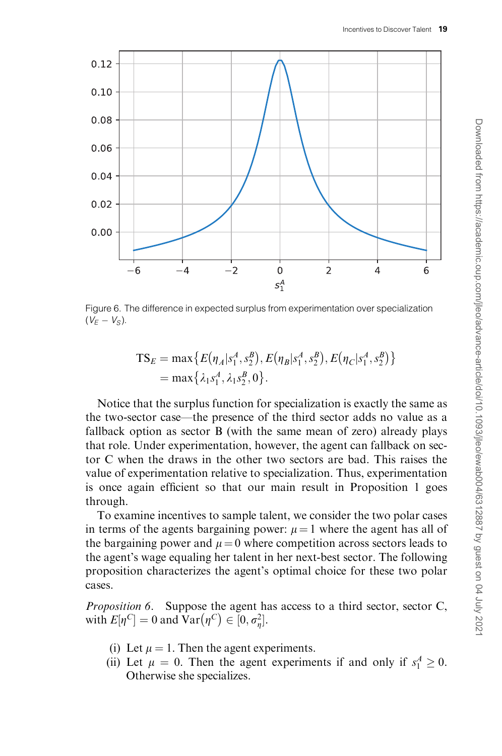<span id="page-18-0"></span>

Figure 6. The difference in expected surplus from experimentation over specialization  $(V_F - V_S)$ .

$$
TS_E = \max \{ E(\eta_A | s_1^A, s_2^B), E(\eta_B | s_1^A, s_2^B), E(\eta_C | s_1^A, s_2^B) \}
$$
  
= 
$$
\max \{ \lambda_1 s_1^A, \lambda_1 s_2^B, 0 \}.
$$

Notice that the surplus function for specialization is exactly the same as the two-sector case—the presence of the third sector adds no value as a fallback option as sector B (with the same mean of zero) already plays that role. Under experimentation, however, the agent can fallback on sector C when the draws in the other two sectors are bad. This raises the value of experimentation relative to specialization. Thus, experimentation is once again efficient so that our main result in Proposition 1 goes through.

To examine incentives to sample talent, we consider the two polar cases in terms of the agents bargaining power:  $\mu = 1$  where the agent has all of the bargaining power and  $\mu = 0$  where competition across sectors leads to the agent's wage equaling her talent in her next-best sector. The following proposition characterizes the agent's optimal choice for these two polar cases.

Proposition 6. Suppose the agent has access to a third sector, sector C, with  $E[\eta^C] = 0$  and  $Var(\eta^C) \in [0, \sigma_{\eta}^2]$ .

- (i) Let  $\mu = 1$ . Then the agent experiments.
- (ii) Let  $\mu = 0$ . Then the agent experiments if and only if  $s_1^A \ge 0$ . Otherwise she specializes.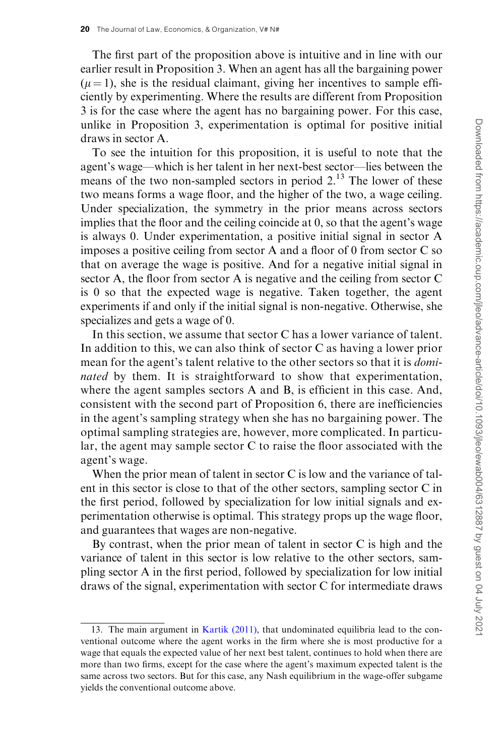The first part of the proposition above is intuitive and in line with our earlier result in Proposition 3. When an agent has all the bargaining power  $(\mu = 1)$ , she is the residual claimant, giving her incentives to sample efficiently by experimenting. Where the results are different from Proposition 3 is for the case where the agent has no bargaining power. For this case, unlike in Proposition 3, experimentation is optimal for positive initial draws in sector A.

To see the intuition for this proposition, it is useful to note that the agent's wage—which is her talent in her next-best sector—lies between the means of the two non-sampled sectors in period  $2<sup>13</sup>$ . The lower of these two means forms a wage floor, and the higher of the two, a wage ceiling. Under specialization, the symmetry in the prior means across sectors implies that the floor and the ceiling coincide at 0, so that the agent's wage is always 0. Under experimentation, a positive initial signal in sector A imposes a positive ceiling from sector A and a floor of 0 from sector C so that on average the wage is positive. And for a negative initial signal in sector A, the floor from sector A is negative and the ceiling from sector C is 0 so that the expected wage is negative. Taken together, the agent experiments if and only if the initial signal is non-negative. Otherwise, she specializes and gets a wage of 0.

In this section, we assume that sector C has a lower variance of talent. In addition to this, we can also think of sector C as having a lower prior mean for the agent's talent relative to the other sectors so that it is dominated by them. It is straightforward to show that experimentation, where the agent samples sectors A and B, is efficient in this case. And, consistent with the second part of Proposition 6, there are inefficiencies in the agent's sampling strategy when she has no bargaining power. The optimal sampling strategies are, however, more complicated. In particular, the agent may sample sector C to raise the floor associated with the agent's wage.

When the prior mean of talent in sector C is low and the variance of talent in this sector is close to that of the other sectors, sampling sector C in the first period, followed by specialization for low initial signals and experimentation otherwise is optimal. This strategy props up the wage floor, and guarantees that wages are non-negative.

By contrast, when the prior mean of talent in sector C is high and the variance of talent in this sector is low relative to the other sectors, sampling sector A in the first period, followed by specialization for low initial draws of the signal, experimentation with sector C for intermediate draws

<sup>13.</sup> The main argument in [Kartik \(2011\)](#page-34-0), that undominated equilibria lead to the conventional outcome where the agent works in the firm where she is most productive for a wage that equals the expected value of her next best talent, continues to hold when there are more than two firms, except for the case where the agent's maximum expected talent is the same across two sectors. But for this case, any Nash equilibrium in the wage-offer subgame yields the conventional outcome above.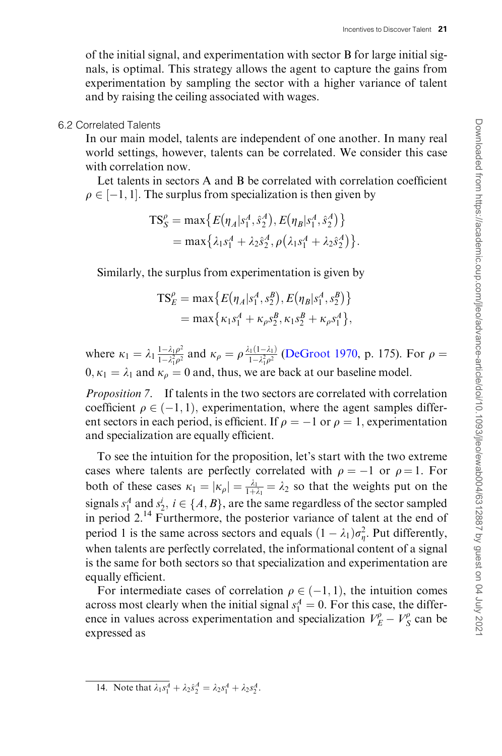of the initial signal, and experimentation with sector B for large initial signals, is optimal. This strategy allows the agent to capture the gains from experimentation by sampling the sector with a higher variance of talent and by raising the ceiling associated with wages.

#### 6.2 Correlated Talents

In our main model, talents are independent of one another. In many real world settings, however, talents can be correlated. We consider this case with correlation now.

Let talents in sectors A and B be correlated with correlation coefficient  $\rho \in [-1, 1]$ . The surplus from specialization is then given by

$$
TS_S^{\rho} = \max \{ E(\eta_A | s_1^A, \hat{s}_2^A), E(\eta_B | s_1^A, \hat{s}_2^A) \}
$$
  
= 
$$
\max \{ \lambda_1 s_1^A + \lambda_2 \hat{s}_2^A, \rho (\lambda_1 s_1^A + \lambda_2 \hat{s}_2^A) \}.
$$

Similarly, the surplus from experimentation is given by

$$
TS_E^{\rho} = \max \{ E(\eta_A | s_1^A, s_2^B), E(\eta_B | s_1^A, s_2^B) \}
$$
  
= 
$$
\max \{ \kappa_1 s_1^A + \kappa_{\rho} s_2^B, \kappa_1 s_2^B + \kappa_{\rho} s_1^A \},
$$

where  $\kappa_1 = \lambda_1 \frac{1 - \lambda_1 \rho^2}{1 - \lambda_1^2 \rho^2}$  $\frac{1-\lambda_1\rho^2}{1-\lambda_1^2\rho^2}$  and  $\kappa_\rho = \rho \frac{\lambda_1(1-\lambda_1)}{1-\lambda_1^2\rho^2}$  ([DeGroot 1970,](#page-34-0) p. 175). For  $\rho =$  $0, \kappa_1 = \lambda_1$  and  $\kappa_\rho = 0$  and, thus, we are back at our baseline model.

Proposition 7. If talents in the two sectors are correlated with correlation coefficient  $\rho \in (-1, 1)$ , experimentation, where the agent samples different sectors in each period, is efficient. If  $\rho = -1$  or  $\rho = 1$ , experimentation and specialization are equally efficient.

To see the intuition for the proposition, let's start with the two extreme cases where talents are perfectly correlated with  $\rho = -1$  or  $\rho = 1$ . For both of these cases  $\kappa_1 = |\kappa_\rho| = \frac{\lambda_1}{1 + \lambda_1} = \lambda_2$  so that the weights put on the signals  $s_1^A$  and  $s_2^i$ ,  $i \in \{A, B\}$ , are the same regardless of the sector sampled in period 2.14 Furthermore, the posterior variance of talent at the end of period 1 is the same across sectors and equals  $(1 - \lambda_1)\sigma_{\eta}^2$ . Put differently, when talents are perfectly correlated, the informational content of a signal is the same for both sectors so that specialization and experimentation are equally efficient.

For intermediate cases of correlation  $\rho \in (-1, 1)$ , the intuition comes across most clearly when the initial signal  $s_1^A = 0$ . For this case, the difference in values across experimentation and specialization  $V_E^{\rho} - V_S^{\rho}$  can be expressed as

14. Note that  $\lambda_1 s_1^A + \lambda_2 \hat{s}_2^A = \lambda_2 s_1^A + \lambda_2 s_2^A$ .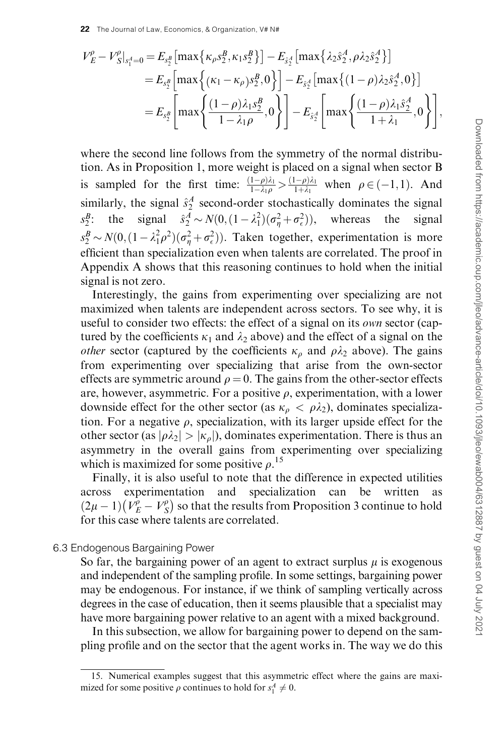$$
V_{E}^{\rho} - V_{S}^{\rho}|_{s_{1}^{A}=0} = E_{s_{2}^{B}} [\max \{ \kappa_{\rho} s_{2}^{B}, \kappa_{1} s_{2}^{B} \}] - E_{\hat{s}_{2}^{A}} [\max \{ \lambda_{2} \hat{s}_{2}^{A}, \rho \lambda_{2} \hat{s}_{2}^{A} \}]
$$
  
\n
$$
= E_{s_{2}^{B}} [\max \{ (\kappa_{1} - \kappa_{\rho}) s_{2}^{B}, 0 \}] - E_{\hat{s}_{2}^{A}} [\max \{ (1 - \rho) \lambda_{2} \hat{s}_{2}^{A}, 0 \}]
$$
  
\n
$$
= E_{s_{2}^{B}} [\max \{ \frac{(1 - \rho) \lambda_{1} s_{2}^{B}}{1 - \lambda_{1} \rho}, 0 \}] - E_{\hat{s}_{2}^{A}} [\max \{ \frac{(1 - \rho) \lambda_{1} \hat{s}_{2}^{A}}{1 + \lambda_{1}}, 0 \}] ,
$$

where the second line follows from the symmetry of the normal distribution. As in Proposition 1, more weight is placed on a signal when sector B is sampled for the first time:  $\frac{(1-\rho)\lambda_1}{1-\lambda_1\rho} > \frac{(1-\rho)\lambda_1}{1+\lambda_1}$  when  $\rho \in (-1,1)$ . And similarly, the signal  $\hat{s}_2^A$  second-order stochastically dominates the signal  $s_2^B$ :  $\hat{B}$ : the signal  $\hat{s}_2^A \sim N(0, (1 - \lambda_1^2)(\sigma_\eta^2 + \sigma_\epsilon^2)),$  whereas the signal  $s_2^B \sim N(0, (1 - \lambda_1^2 \rho^2)(\sigma_\eta^2 + \sigma_\epsilon^2))$ . Taken together, experimentation is more efficient than specialization even when talents are correlated. The proof in Appendix A shows that this reasoning continues to hold when the initial signal is not zero.

Interestingly, the gains from experimenting over specializing are not maximized when talents are independent across sectors. To see why, it is useful to consider two effects: the effect of a signal on its own sector (captured by the coefficients  $\kappa_1$  and  $\lambda_2$  above) and the effect of a signal on the *other* sector (captured by the coefficients  $\kappa_{\rho}$  and  $\rho \lambda_2$  above). The gains from experimenting over specializing that arise from the own-sector effects are symmetric around  $\rho = 0$ . The gains from the other-sector effects are, however, asymmetric. For a positive  $\rho$ , experimentation, with a lower downside effect for the other sector (as  $\kappa_{\rho} < \rho \lambda_2$ ), dominates specialization. For a negative  $\rho$ , specialization, with its larger upside effect for the other sector (as  $|\rho \lambda_2| > |\kappa_o|$ ), dominates experimentation. There is thus an asymmetry in the overall gains from experimenting over specializing which is maximized for some positive  $\rho$ .<sup>15</sup>

Finally, it is also useful to note that the difference in expected utilities across experimentation and specialization can be written as  $(2\mu - 1)(V_{E}^{\rho} - V_{S}^{\rho})$  $(V_{F}^{p} - V_{S}^{p})$  so that the results from Proposition 3 continue to hold for this case where talents are correlated.

#### 6.3 Endogenous Bargaining Power

So far, the bargaining power of an agent to extract surplus  $\mu$  is exogenous and independent of the sampling profile. In some settings, bargaining power may be endogenous. For instance, if we think of sampling vertically across degrees in the case of education, then it seems plausible that a specialist may have more bargaining power relative to an agent with a mixed background.

In this subsection, we allow for bargaining power to depend on the sampling profile and on the sector that the agent works in. The way we do this

<sup>15.</sup> Numerical examples suggest that this asymmetric effect where the gains are maximized for some positive  $\rho$  continues to hold for  $s_1^A \neq 0$ .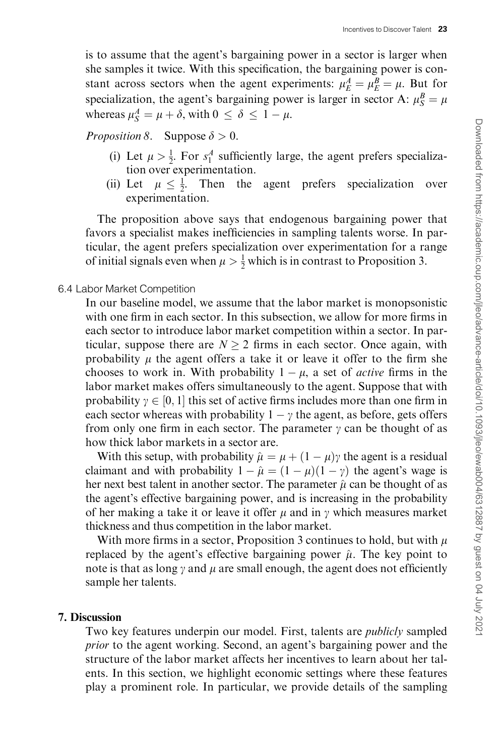is to assume that the agent's bargaining power in a sector is larger when she samples it twice. With this specification, the bargaining power is constant across sectors when the agent experiments:  $\mu_E^A = \mu_E^B = \mu$ . But for specialization, the agent's bargaining power is larger in sector A:  $\mu_S^B = \mu$ whereas  $\mu_S^A = \mu + \delta$ , with  $0 \leq \delta \leq 1 - \mu$ .

*Proposition 8.* Suppose  $\delta > 0$ .

- (i) Let  $\mu > \frac{1}{2}$ . For  $s_1^A$  sufficiently large, the agent prefers specialization over experimentation.
- (ii) Let  $\mu \leq \frac{1}{2}$ . Then the agent prefers specialization over experimentation.

The proposition above says that endogenous bargaining power that favors a specialist makes inefficiencies in sampling talents worse. In particular, the agent prefers specialization over experimentation for a range of initial signals even when  $\mu > \frac{1}{2}$  which is in contrast to Proposition 3.

#### 6.4 Labor Market Competition

In our baseline model, we assume that the labor market is monopsonistic with one firm in each sector. In this subsection, we allow for more firms in each sector to introduce labor market competition within a sector. In particular, suppose there are  $N > 2$  firms in each sector. Once again, with probability  $\mu$  the agent offers a take it or leave it offer to the firm she chooses to work in. With probability  $1 - \mu$ , a set of *active* firms in the labor market makes offers simultaneously to the agent. Suppose that with probability  $\gamma \in [0, 1]$  this set of active firms includes more than one firm in each sector whereas with probability  $1 - \gamma$  the agent, as before, gets offers from only one firm in each sector. The parameter  $\gamma$  can be thought of as how thick labor markets in a sector are.

With this setup, with probability  $\hat{\mu} = \mu + (1 - \mu)\gamma$  the agent is a residual claimant and with probability  $1 - \hat{\mu} = (1 - \mu)(1 - \gamma)$  the agent's wage is her next best talent in another sector. The parameter  $\hat{\mu}$  can be thought of as the agent's effective bargaining power, and is increasing in the probability of her making a take it or leave it offer  $\mu$  and in  $\gamma$  which measures market thickness and thus competition in the labor market.

With more firms in a sector, Proposition 3 continues to hold, but with  $\mu$ replaced by the agent's effective bargaining power  $\hat{\mu}$ . The key point to note is that as long  $\gamma$  and  $\mu$  are small enough, the agent does not efficiently sample her talents.

#### 7. Discussion

Two key features underpin our model. First, talents are publicly sampled prior to the agent working. Second, an agent's bargaining power and the structure of the labor market affects her incentives to learn about her talents. In this section, we highlight economic settings where these features play a prominent role. In particular, we provide details of the sampling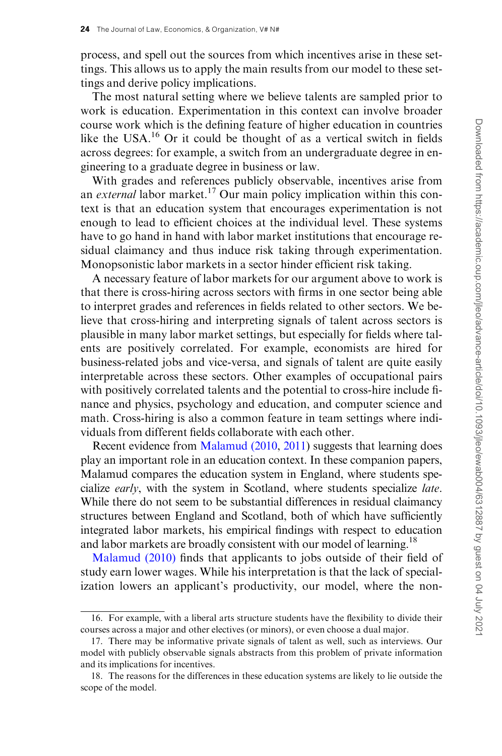process, and spell out the sources from which incentives arise in these settings. This allows us to apply the main results from our model to these settings and derive policy implications.

The most natural setting where we believe talents are sampled prior to work is education. Experimentation in this context can involve broader course work which is the defining feature of higher education in countries like the USA.<sup>16</sup> Or it could be thought of as a vertical switch in fields across degrees: for example, a switch from an undergraduate degree in engineering to a graduate degree in business or law.

With grades and references publicly observable, incentives arise from an *external* labor market.<sup>17</sup> Our main policy implication within this context is that an education system that encourages experimentation is not enough to lead to efficient choices at the individual level. These systems have to go hand in hand with labor market institutions that encourage residual claimancy and thus induce risk taking through experimentation. Monopsonistic labor markets in a sector hinder efficient risk taking.

A necessary feature of labor markets for our argument above to work is that there is cross-hiring across sectors with firms in one sector being able to interpret grades and references in fields related to other sectors. We believe that cross-hiring and interpreting signals of talent across sectors is plausible in many labor market settings, but especially for fields where talents are positively correlated. For example, economists are hired for business-related jobs and vice-versa, and signals of talent are quite easily interpretable across these sectors. Other examples of occupational pairs with positively correlated talents and the potential to cross-hire include finance and physics, psychology and education, and computer science and math. Cross-hiring is also a common feature in team settings where individuals from different fields collaborate with each other.

Recent evidence from [Malamud \(2010](#page-34-0), [2011\)](#page-34-0) suggests that learning does play an important role in an education context. In these companion papers, Malamud compares the education system in England, where students specialize early, with the system in Scotland, where students specialize late. While there do not seem to be substantial differences in residual claimancy structures between England and Scotland, both of which have sufficiently integrated labor markets, his empirical findings with respect to education and labor markets are broadly consistent with our model of learning.<sup>18</sup>

[Malamud \(2010\)](#page-34-0) finds that applicants to jobs outside of their field of study earn lower wages. While his interpretation is that the lack of specialization lowers an applicant's productivity, our model, where the non-

<sup>16.</sup> For example, with a liberal arts structure students have the flexibility to divide their courses across a major and other electives (or minors), or even choose a dual major.

<sup>17.</sup> There may be informative private signals of talent as well, such as interviews. Our model with publicly observable signals abstracts from this problem of private information and its implications for incentives.

<sup>18.</sup> The reasons for the differences in these education systems are likely to lie outside the scope of the model.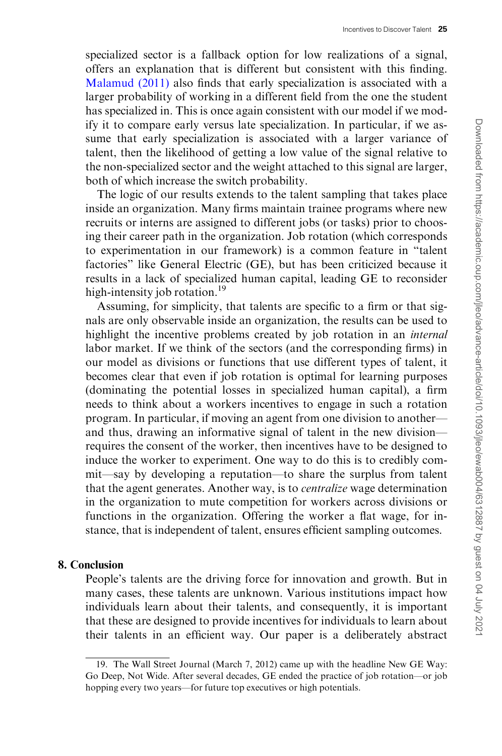specialized sector is a fallback option for low realizations of a signal, offers an explanation that is different but consistent with this finding. [Malamud \(2011\)](#page-34-0) also finds that early specialization is associated with a larger probability of working in a different field from the one the student has specialized in. This is once again consistent with our model if we modify it to compare early versus late specialization. In particular, if we assume that early specialization is associated with a larger variance of talent, then the likelihood of getting a low value of the signal relative to the non-specialized sector and the weight attached to this signal are larger, both of which increase the switch probability.

The logic of our results extends to the talent sampling that takes place inside an organization. Many firms maintain trainee programs where new recruits or interns are assigned to different jobs (or tasks) prior to choosing their career path in the organization. Job rotation (which corresponds to experimentation in our framework) is a common feature in "talent factories" like General Electric (GE), but has been criticized because it results in a lack of specialized human capital, leading GE to reconsider high-intensity job rotation.<sup>19</sup>

Assuming, for simplicity, that talents are specific to a firm or that signals are only observable inside an organization, the results can be used to highlight the incentive problems created by job rotation in an internal labor market. If we think of the sectors (and the corresponding firms) in our model as divisions or functions that use different types of talent, it becomes clear that even if job rotation is optimal for learning purposes (dominating the potential losses in specialized human capital), a firm needs to think about a workers incentives to engage in such a rotation program. In particular, if moving an agent from one division to another and thus, drawing an informative signal of talent in the new division requires the consent of the worker, then incentives have to be designed to induce the worker to experiment. One way to do this is to credibly commit—say by developing a reputation—to share the surplus from talent that the agent generates. Another way, is to centralize wage determination in the organization to mute competition for workers across divisions or functions in the organization. Offering the worker a flat wage, for instance, that is independent of talent, ensures efficient sampling outcomes.

## 8. Conclusion

People's talents are the driving force for innovation and growth. But in many cases, these talents are unknown. Various institutions impact how individuals learn about their talents, and consequently, it is important that these are designed to provide incentives for individuals to learn about their talents in an efficient way. Our paper is a deliberately abstract

<sup>19.</sup> The Wall Street Journal (March 7, 2012) came up with the headline New GE Way: Go Deep, Not Wide. After several decades, GE ended the practice of job rotation—or job hopping every two years—for future top executives or high potentials.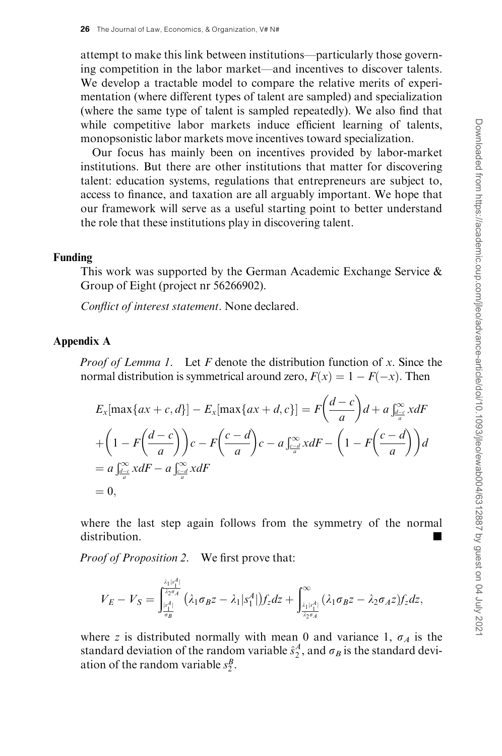attempt to make this link between institutions—particularly those governing competition in the labor market—and incentives to discover talents. We develop a tractable model to compare the relative merits of experimentation (where different types of talent are sampled) and specialization (where the same type of talent is sampled repeatedly). We also find that while competitive labor markets induce efficient learning of talents, monopsonistic labor markets move incentives toward specialization.

Our focus has mainly been on incentives provided by labor-market institutions. But there are other institutions that matter for discovering talent: education systems, regulations that entrepreneurs are subject to, access to finance, and taxation are all arguably important. We hope that our framework will serve as a useful starting point to better understand the role that these institutions play in discovering talent.

#### Funding

This work was supported by the German Academic Exchange Service & Group of Eight (project nr 56266902).

Conflict of interest statement. None declared.

## Appendix A

*Proof of Lemma 1.* Let  $F$  denote the distribution function of  $x$ . Since the normal distribution is symmetrical around zero,  $F(x) = 1 - F(-x)$ . Then

$$
E_x[\max\{ax+c,d\}] - E_x[\max\{ax+d,c\}] = F\left(\frac{d-c}{a}\right)d + a\int_{\frac{d-c}{a}}^{\infty} x dF
$$
  
+ 
$$
\left(1 - F\left(\frac{d-c}{a}\right)\right)c - F\left(\frac{c-d}{a}\right)c - a\int_{\frac{c-a}{a}}^{\infty} x dF - \left(1 - F\left(\frac{c-d}{a}\right)\right)d
$$
  
= 
$$
a\int_{\frac{d-c}{a}}^{\infty} x dF - a\int_{\frac{c-a}{a}}^{\infty} x dF
$$
  
= 0,

where the last step again follows from the symmetry of the normal distribution.

Proof of Proposition 2. We first prove that:

$$
V_E-V_S=\int_{\frac{|x|^4|}{\sigma_B}}^{\frac{\lambda_1|x|^4}{\sigma_B\sigma_A}}(\lambda_1\sigma_Bz-\lambda_1|x^A_1|)f_zdz+\int_{\frac{\lambda_1|x^4|}{\lambda_2\sigma_A}}^{\infty}(\lambda_1\sigma_Bz-\lambda_2\sigma_Az)f_zdz,
$$

where z is distributed normally with mean 0 and variance 1,  $\sigma_A$  is the standard deviation of the random variable  $\hat{s}_2^A$ , and  $\sigma_B$  is the standard deviation of the random variable  $s_2^B$ .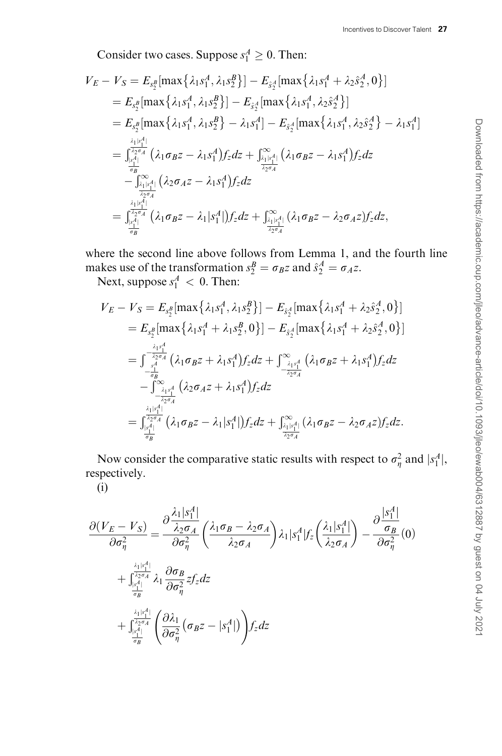Consider two cases. Suppose  $s_1^A \geq 0$ . Then:

$$
V_{E} - V_{S} = E_{s_{2}^{B}}[\max\{\lambda_{1}s_{1}^{A}, \lambda_{1}s_{2}^{B}\}] - E_{\hat{s}_{2}^{A}}[\max\{\lambda_{1}s_{1}^{A} + \lambda_{2}\hat{s}_{2}^{A}, 0\}]
$$
  
\n
$$
= E_{s_{2}^{B}}[\max\{\lambda_{1}s_{1}^{A}, \lambda_{1}s_{2}^{B}\}] - E_{\hat{s}_{2}^{A}}[\max\{\lambda_{1}s_{1}^{A}, \lambda_{2}\hat{s}_{2}^{A}\}]
$$
  
\n
$$
= E_{s_{2}^{B}}[\max\{\lambda_{1}s_{1}^{A}, \lambda_{1}s_{2}^{B}\} - \lambda_{1}s_{1}^{A}] - E_{\hat{s}_{2}^{A}}[\max\{\lambda_{1}s_{1}^{A}, \lambda_{2}\hat{s}_{2}^{A}\} - \lambda_{1}s_{1}^{A}]
$$
  
\n
$$
= \frac{\sum_{i=1}^{|\lambda_{1}|A_{i}^{A}|}}{\sum_{i=1}^{|\lambda_{2}|A_{i}|}} (\lambda_{1}\sigma_{B}z - \lambda_{1}s_{1}^{A})f_{z}dz + \int_{\frac{\lambda_{1}|x_{1}^{A}|}{\lambda_{2}\sigma_{A}}}^{\infty} (\lambda_{1}\sigma_{B}z - \lambda_{1}s_{1}^{A})f_{z}dz
$$
  
\n
$$
- \int_{\frac{\lambda_{1}|x_{1}^{A}|}{\lambda_{2}\sigma_{A}}}^{\infty} (\lambda_{2}\sigma_{A}z - \lambda_{1}s_{1}^{A})f_{z}dz + \int_{\frac{\lambda_{2}|x_{1}^{A}|}{\lambda_{2}\sigma_{A}}}^{\infty} (\lambda_{1}\sigma_{B}z - \lambda_{2}\sigma_{A}z)f_{z}dz,
$$

where the second line above follows from Lemma 1, and the fourth line makes use of the transformation  $s_2^B = \sigma_B z$  and  $\hat{s}_2^A = \sigma_A z$ .

Next, suppose  $s_1^A < 0$ . Then:

$$
V_{E} - V_{S} = E_{s_{2}^{B}}[\max\{\lambda_{1}s_{1}^{A}, \lambda_{1}s_{2}^{B}\}] - E_{\hat{s}_{2}^{A}}[\max\{\lambda_{1}s_{1}^{A} + \lambda_{2}\hat{s}_{2}^{A}, 0\}]
$$
  
\n
$$
= E_{s_{2}^{B}}[\max\{\lambda_{1}s_{1}^{A} + \lambda_{1}s_{2}^{B}, 0\}] - E_{\hat{s}_{2}^{A}}[\max\{\lambda_{1}s_{1}^{A} + \lambda_{2}\hat{s}_{2}^{A}, 0\}]
$$
  
\n
$$
= \int_{-\frac{\lambda_{1}s_{1}^{A}}{\delta_{2}s}}^{\frac{\lambda_{1}s_{1}^{A}}{\delta_{2}s}}(\lambda_{1}\sigma_{B}z + \lambda_{1}s_{1}^{A})f_{z}dz + \int_{-\frac{\lambda_{1}s_{1}^{A}}{\lambda_{2}\sigma_{A}}}^{\infty}(\lambda_{1}\sigma_{B}z + \lambda_{1}s_{1}^{A})f_{z}dz
$$
  
\n
$$
- \int_{-\frac{\lambda_{1}s_{1}^{A}}{\lambda_{2}\sigma_{A}}}^{\infty}(\lambda_{2}\sigma_{A}z + \lambda_{1}s_{1}^{A})f_{z}dz + \int_{-\frac{\lambda_{2}s_{1}^{A}}{\lambda_{2}\sigma_{A}}}^{\infty}(\lambda_{1}\sigma_{B}z - \lambda_{2}\sigma_{A}z)f_{z}dz.
$$

Now consider the comparative static results with respect to  $\sigma_{\eta}^2$  and  $|s_1^A|$ , respectively.

(i)

$$
\frac{\partial (V_E - V_S)}{\partial \sigma_\eta^2} = \frac{\partial \frac{\lambda_1 |s_1^A|}{\lambda_2 \sigma_A}}{\partial \sigma_\eta^2} \left( \frac{\lambda_1 \sigma_B - \lambda_2 \sigma_A}{\lambda_2 \sigma_A} \right) \lambda_1 |s_1^A| f_z \left( \frac{\lambda_1 |s_1^A|}{\lambda_2 \sigma_A} \right) - \frac{\partial \frac{|s_1^A|}{\sigma_B}}{\partial \sigma_\eta^2} (0)
$$
  
+ 
$$
\int_{\frac{|s_1^A|}{\sigma_B^2}}^{\frac{\lambda_1 |s_1^A|}{\lambda_2 \sigma_A}} \lambda_1 \frac{\partial \sigma_B}{\partial \sigma_\eta^2} z f_z dz
$$
  
+ 
$$
\int_{\frac{|s_1^A|}{\sigma_B^2}}^{\frac{\lambda_1 |s_1^A|}{\lambda_2 \sigma_A}} \left( \frac{\partial \lambda_1}{\partial \sigma_\eta^2} (\sigma_B z - |s_1^A|) \right) f_z dz
$$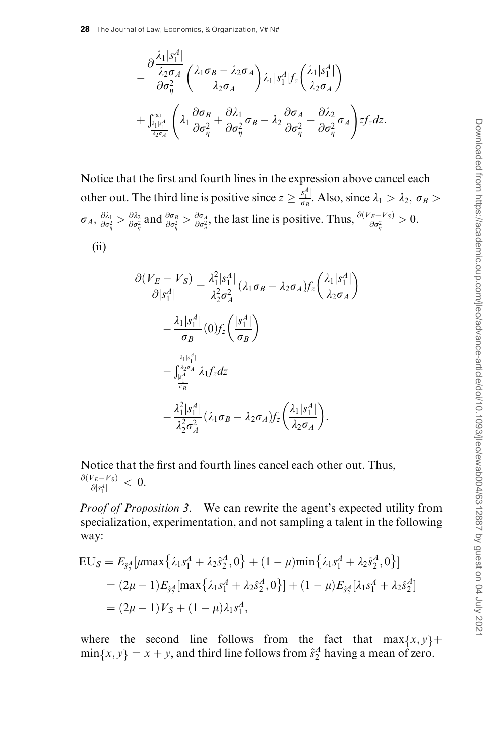$$
-\frac{\partial \frac{\lambda_1|s_1^A|}{\lambda_2 \sigma_A}}{\partial \sigma_\eta^2} \left( \frac{\lambda_1 \sigma_B - \lambda_2 \sigma_A}{\lambda_2 \sigma_A} \right) \lambda_1 |s_1^A| f_z \left( \frac{\lambda_1|s_1^A|}{\lambda_2 \sigma_A} \right) + \int_{\frac{|\lambda_1|s_1^A|}{\lambda_2 \sigma_A}}^{\infty} \left( \lambda_1 \frac{\partial \sigma_B}{\partial \sigma_\eta^2} + \frac{\partial \lambda_1}{\partial \sigma_\eta^2} \sigma_B - \lambda_2 \frac{\partial \sigma_A}{\partial \sigma_\eta^2} - \frac{\partial \lambda_2}{\partial \sigma_\eta^2} \sigma_A \right) z f_z dz.
$$

Notice that the first and fourth lines in the expression above cancel each other out. The third line is positive since  $z \ge \frac{|s_1^4|}{\sigma_B}$ . Also, since  $\lambda_1 > \lambda_2$ ,  $\sigma_B >$  $\sigma_A$ ,  $\frac{\partial \lambda_1}{\partial \sigma_{\eta}^2} > \frac{\partial \lambda_2}{\partial \sigma_{\eta}^2}$  and  $\frac{\partial \sigma_B}{\partial \sigma_{\eta}^2} > \frac{\partial \sigma_A}{\partial \sigma_{\eta}^2}$ , the last line is positive. Thus,  $\frac{\partial (V_E - V_S)}{\partial \sigma_{\eta}^2} > 0$ . (ii)

$$
\frac{\partial (V_E - V_S)}{\partial |s_1^A|} = \frac{\lambda_1^2 |s_1^A|}{\lambda_2^2 \sigma_A^2} (\lambda_1 \sigma_B - \lambda_2 \sigma_A) f_z \left(\frac{\lambda_1 |s_1^A|}{\lambda_2 \sigma_A}\right)
$$

$$
- \frac{\lambda_1 |s_1^A|}{\sigma_B} (0) f_z \left(\frac{|s_1^A|}{\sigma_B}\right)
$$

$$
- \int_{\frac{|s_1^A|}{\sigma_B}}^{\frac{\lambda_1 |s_1^A|}{\lambda_2 \sigma_A}} \lambda_1 f_z dz
$$

$$
- \frac{\lambda_1^2 |s_1^A|}{\lambda_2^2 \sigma_A^2} (\lambda_1 \sigma_B - \lambda_2 \sigma_A) f_z \left(\frac{\lambda_1 |s_1^A|}{\lambda_2 \sigma_A}\right).
$$

Notice that the first and fourth lines cancel each other out. Thus,  $\frac{\partial (V_E - V_S)}{\partial |s_1^A|} < 0.$ 

Proof of Proposition 3. We can rewrite the agent's expected utility from specialization, experimentation, and not sampling a talent in the following way:

$$
EU_S = E_{\hat{s}_2^A}[\mu \max \{\lambda_1 s_1^A + \lambda_2 \hat{s}_2^A, 0\} + (1 - \mu) \min \{\lambda_1 s_1^A + \lambda_2 \hat{s}_2^A, 0\}]
$$
  
=  $(2\mu - 1) E_{\hat{s}_2^A}[\max \{\lambda_1 s_1^A + \lambda_2 \hat{s}_2^A, 0\}] + (1 - \mu) E_{\hat{s}_2^A}[\lambda_1 s_1^A + \lambda_2 \hat{s}_2^A]$   
=  $(2\mu - 1) V_S + (1 - \mu) \lambda_1 s_1^A$ ,

where the second line follows from the fact that  $\max\{x, y\}$ +  $\min\{x, y\} = x + y$ , and third line follows from  $\hat{s}_2^A$  having a mean of zero.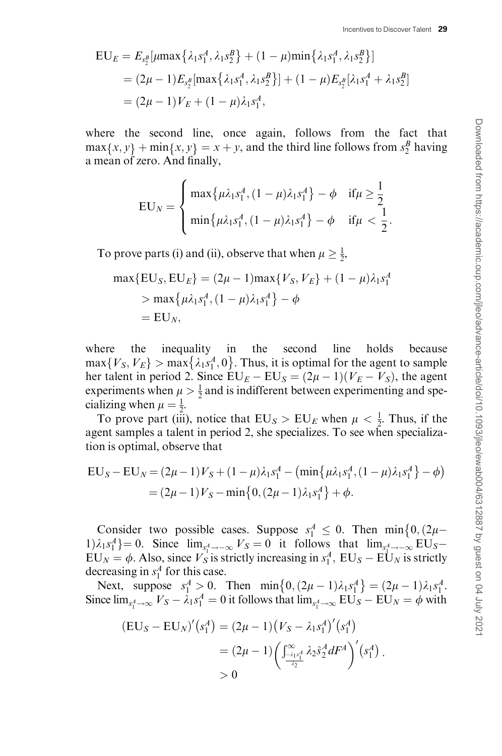$$
EU_E = E_{s_2^B}[\mu \max\{\lambda_1 s_1^A, \lambda_1 s_2^B\} + (1 - \mu) \min\{\lambda_1 s_1^A, \lambda_1 s_2^B\}]
$$
  
=  $(2\mu - 1) E_{s_2^B}[\max\{\lambda_1 s_1^A, \lambda_1 s_2^B\}] + (1 - \mu) E_{s_2^B}[\lambda_1 s_1^A + \lambda_1 s_2^B]$   
=  $(2\mu - 1) V_E + (1 - \mu) \lambda_1 s_1^A$ ,

where the second line, once again, follows from the fact that  $max{x, y} + min{x, y} = x + y$ , and the third line follows from  $s_2^B$  having a mean of zero. And finally,

$$
EU_N = \begin{cases} \max\{\mu\lambda_1 s_1^A, (1-\mu)\lambda_1 s_1^A\} - \phi & \text{if } \mu \ge \frac{1}{2} \\ \min\{\mu\lambda_1 s_1^A, (1-\mu)\lambda_1 s_1^A\} - \phi & \text{if } \mu < \frac{1}{2}. \end{cases}
$$

To prove parts (i) and (ii), observe that when  $\mu \ge \frac{1}{2}$ ,

$$
\max\{EU_S, EU_E\} = (2\mu - 1)\max\{V_S, V_E\} + (1 - \mu)\lambda_1 s_1^A
$$
  
> 
$$
\max\{\mu\lambda_1 s_1^A, (1 - \mu)\lambda_1 s_1^A\} - \phi
$$
  
= EU<sub>N</sub>,

where the inequality in the second line holds because  $\max\{V_S, V_E\} > \max\{\lambda_1 s_1^A, 0\}$ . Thus, it is optimal for the agent to sample her talent in period 2. Since  $EU_E - EU_S = (2\mu - 1)(V_E - V_S)$ , the agent experiments when  $\mu > \frac{1}{2}$  and is indifferent between experimenting and specializing when  $\mu = \frac{1}{2}$ .

To prove part (iii), notice that  $EU_S > EU_E$  when  $\mu < \frac{1}{2}$ . Thus, if the agent samples a talent in period 2, she specializes. To see when specialization is optimal, observe that

$$
EU_S - EU_N = (2\mu - 1)V_S + (1 - \mu)\lambda_1 s_1^A - (\min{\{\mu\lambda_1 s_1^A, (1 - \mu)\lambda_1 s_1^A\}} - \phi)
$$
  
= (2\mu - 1)V\_S - \min{\{0, (2\mu - 1)\lambda\_1 s\_1^A\}} + \phi.

Consider two possible cases. Suppose  $s_1^A \leq 0$ . Then min $\{0, (2\mu 1)\lambda_1 s_1^A$  = 0. Since  $\lim_{s \to -\infty} V_s = 0$  it follows that  $\lim_{s \to -\infty} EU_s$  $EU_N = \phi$ . Also, since  $V_S$  is strictly increasing in  $s_1^A$ ,  $EU_S - EU_N$  is strictly decreasing in  $s_1^A$  for this case.

Next, suppose  $s_1^A > 0$ . Then  $\min\{0, (2\mu - 1)\lambda_1 s_1^A\} = (2\mu - 1)\lambda_1 s_1^A$ . Since  $\lim_{s_1^4 \to \infty} V_S - \lambda_1 s_1^A = 0$  it follows that  $\lim_{s_1^4 \to \infty} EU_S - EU_N = \phi$  with

$$
\begin{aligned} (\mathbf{EU}_S - \mathbf{EU}_N)'(s_1^A) &= (2\mu - 1)(V_S - \lambda_1 s_1^A)'(s_1^A) \\ &= (2\mu - 1) \left( \int_{-\lambda_1 s_1^A}^{\infty} \lambda_2 \hat{s}_2^A dF^A \right)'(s_1^A) \\ &&> 0 \end{aligned}
$$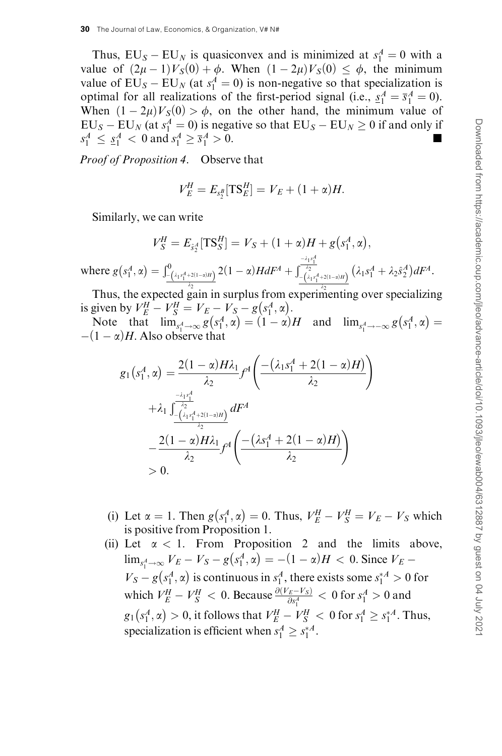Thus,  $EU_S - EU_N$  is quasiconvex and is minimized at  $s_1^A = 0$  with a value of  $(2\mu - 1) V_S(0) + \phi$ . When  $(1 - 2\mu) V_S(0) \leq \phi$ , the minimum value of  $EU_S - EU_N$  (at  $s_1^A = 0$ ) is non-negative so that specialization is optimal for all realizations of the first-period signal (i.e.,  $\underline{s}_1^A = \overline{s}_1^A = 0$ ). When  $(1 - 2\mu)V_S(0) > \phi$ , on the other hand, the minimum value of  $EU_S - EU_N$  (at  $s_1^A = 0$ ) is negative so that  $EU_S - EU_N \ge 0$  if and only if  $s_1^A \leq s_1^A < 0$  and  $s_1^A \geq \overline{s}_1^A$  $\frac{A}{1} > 0.$ 

Proof of Proposition 4. Observe that

$$
V_E^H = E_{s_2^B}[\text{TS}_E^H] = V_E + (1 + \alpha)H.
$$

Similarly, we can write

$$
V_S^H = E_{\hat{s}_2^A}[\text{TS}_S^H] = V_S + (1 + \alpha)H + g(s_1^A, \alpha),
$$
  
where  $g(s_1^A, \alpha) = \int_{-\frac{(1+s_1^A + 2(1-\alpha)H)}{2}}^0 2(1 - \alpha)H dF^A + \int_{-\frac{(1+s_1^A + 2(1-\alpha)H)}{(1+s_1^A + 2(1-\alpha)H)}}^{\frac{-\lambda_1 s_1^A}{2}} (\lambda_1 s_1^A + \lambda_2 \hat{s}_2^A) dF^A.$ 

Thus, the expected gain in surplus from experimenting over specializing is given by  $V_E^H - V_S^H = V_E - V_S - g(s_1^A, \alpha)$ .

Note that  $\lim_{s_1^4 \to \infty} g(s_1^A, \alpha) = (1 - \alpha)H$  and  $\lim_{s_1^4 \to \infty} g(s_1^A, \alpha) =$  $-(1 - \alpha)H$ . Also observe that

$$
g_1(s_1^A, \alpha) = \frac{2(1-\alpha)H\lambda_1}{\lambda_2} f^A \left( \frac{-(\lambda_1 s_1^A + 2(1-\alpha)H)}{\lambda_2} \right) + \lambda_1 \frac{\int_{-\frac{\lambda_1 s_1^A}{\lambda_2}}^{\frac{-\lambda_1 s_1^A}{\lambda_2}} dF^A}{\frac{-2(1-\alpha)H\lambda_1}{\lambda_2} f^A \left( \frac{-(\lambda s_1^A + 2(1-\alpha)H)}{\lambda_2} \right)} > 0.
$$

- (i) Let  $\alpha = 1$ . Then  $g(s_1^A, \alpha) = 0$ . Thus,  $V_E^H V_S^H = V_E V_S$  which is positive from Proposition 1.
- (ii) Let  $\alpha$  < 1. From Proposition 2 and the limits above,  $\lim_{s_1^4 \to \infty} V_E - V_S - g(s_1^4, \alpha) = -(1 - \alpha)H < 0.$  Since  $V_E V_S - g(s_1^A, \alpha)$  is continuous in  $s_1^A$ , there exists some  $s_1^* \geq 0$  for which  $V_E^H - V_S^H < 0$ . Because  $\frac{\partial (V_E - V_S)}{\partial s_1^4} < 0$  for  $s_1^A > 0$  and  $g_1(s_1^A, \alpha) > 0$ , it follows that  $V_E^H - V_S^H < 0$  for  $s_1^A \geq s_1^{*A}$ . Thus, specialization is efficient when  $s_1^A \geq s_1^{*A}$ .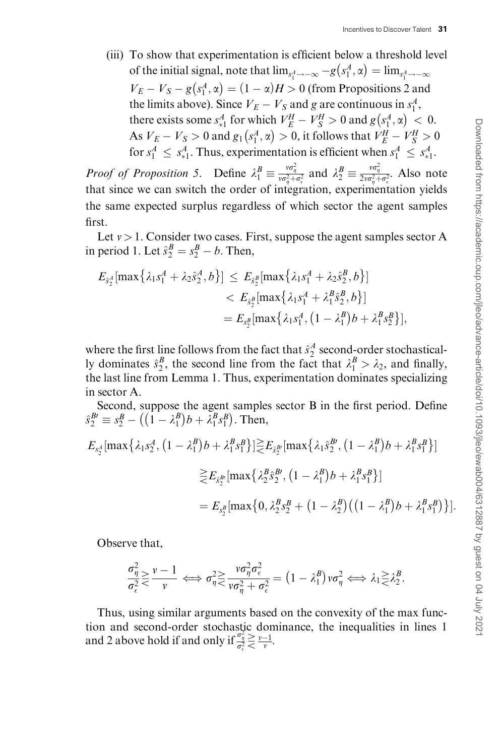(iii) To show that experimentation is efficient below a threshold level of the initial signal, note that  $\lim_{s_1^A \to -\infty} -g(s_1^A, \alpha) = \lim_{s_1^A \to -\infty}$  $V_E - V_S - g(s_1^A, \alpha) = (1 - \alpha)H > 0$  (from Propositions 2 and the limits above). Since  $V_E - V_S$  and g are continuous in  $s_1^A$ , there exists some  $s_{*1}^A$  for which  $V_E^H - V_S^H > 0$  and  $g(s_1^A, \alpha) < 0$ . As  $V_E - V_S > 0$  and  $g_1(s_1^A, \alpha) > 0$ , it follows that  $V_E^H - V_S^H > 0$ for  $s_1^A \leq s_{*1}^A$ . Thus, experimentation is efficient when  $s_1^A \leq s_{*1}^A$ .

*Proof of Proposition 5.* Define  $\lambda_1^B \equiv \frac{v\sigma_\eta^2}{v\sigma_\eta^2 + \sigma_\epsilon^2}$  and  $\lambda_2^B \equiv \frac{v\sigma_\eta^2}{2v\sigma_\eta^2 + \sigma_\epsilon^2}$ . Also note that since we can switch the order of integration, experimentation yields the same expected surplus regardless of which sector the agent samples first.

Let  $v > 1$ . Consider two cases. First, suppose the agent samples sector A in period 1. Let  $\hat{s}^B_2 = s^B_2 - b$ . Then,

$$
E_{\hat{s}^A_2}[\max\{\lambda_1 s_1^A + \lambda_2 \hat{s}_2^A, b\}] \le E_{\hat{s}^B_2}[\max\{\lambda_1 s_1^A + \lambda_2 \hat{s}_2^B, b\}] < E_{\hat{s}^B_2}[\max\{\lambda_1 s_1^A + \lambda_1^B \hat{s}_2^B, b\}] = E_{s_2^B}[\max\{\lambda_1 s_1^A, (1 - \lambda_1^B)b + \lambda_1^B s_2^B\}],
$$

where the first line follows from the fact that  $\hat{s}^A_2$  second-order stochastically dominates  $\hat{s}_2^B$ , the second line from the fact that  $\lambda_1^B > \lambda_2$ , and finally, the last line from Lemma 1. Thus, experimentation dominates specializing in sector A.

Second, suppose the agent samples sector B in the first period. Define  $\hat{s}^{B'}_2 \equiv s^B_2 - ((1 - \lambda^B_1))$  $(\mathbf{1} - \lambda_1^B) b + \lambda_1^B s_1^B$ suppose the agent sample.<br>  $((1 - \lambda_1^B)b + \lambda_1^B s_1^B)$ . Then,

$$
E_{s_2^A}[\max\{\lambda_1 s_2^A, (1 - \lambda_1^B)b + \lambda_1^B s_1^B\}] \geq E_{\hat{s}_2^{B'}}[\max\{\lambda_1 \hat{s}_2^{B'}, (1 - \lambda_1^B)b + \lambda_1^B s_1^B\}]
$$
  

$$
\geq E_{\hat{s}_2^{B'}}[\max\{\lambda_2^B \hat{s}_2^{B'}, (1 - \lambda_1^B)b + \lambda_1^B s_1^B\}]
$$
  

$$
= E_{s_2^B}[\max\{0, \lambda_2^B s_2^B + (1 - \lambda_2^B)((1 - \lambda_1^B)b + \lambda_1^B s_1^B)\}].
$$

Observe that,

$$
\frac{\sigma_{\eta}^2}{\sigma_{\epsilon}^2} \ge \frac{v-1}{v} \iff \sigma_{\eta}^2 \ge \frac{v\sigma_{\eta}^2\sigma_{\epsilon}^2}{v\sigma_{\eta}^2 + \sigma_{\epsilon}^2} = \left(1 - \lambda_1^B\right)v\sigma_{\eta}^2 \iff \lambda_1 \ge \lambda_2^B.
$$

Thus, using similar arguments based on the convexity of the max function and second-order stochastic dominance, the inequalities in lines 1 and 2 above hold if and only if  $\frac{\sigma_{\eta}^2}{\sigma_{\epsilon}^2} \ge \frac{v-1}{v}$ .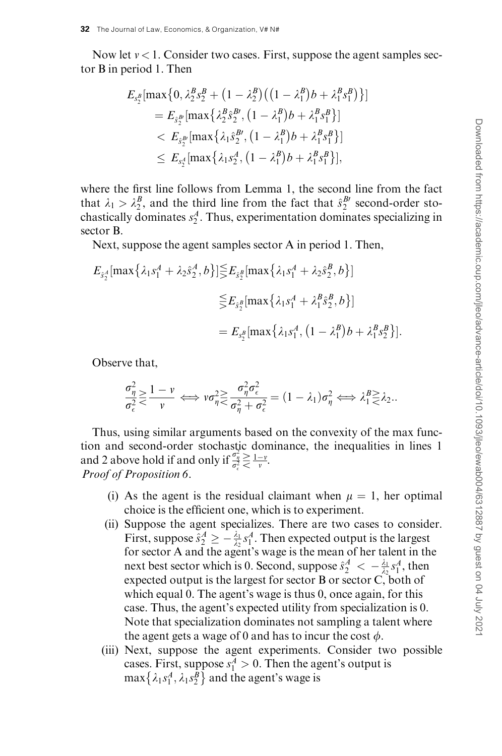Now let  $v < 1$ . Consider two cases. First, suppose the agent samples sector B in period 1. Then

$$
E_{s_2^B}[\max\{0, \lambda_2^B s_2^B + (1 - \lambda_2^B) ((1 - \lambda_1^B)b + \lambda_1^B s_1^B) \}]
$$
  
=  $E_{\hat{s}_2^B}[\max\{\lambda_2^B \hat{s}_2^B, (1 - \lambda_1^B)b + \lambda_1^B s_1^B \}]$   
<  $E_{\hat{s}_2^B}[\max\{\lambda_1 \hat{s}_2^B, (1 - \lambda_1^B)b + \lambda_1^B s_1^B \}]$   
 $\le E_{s_2^A}[\max\{\lambda_1 s_2^A, (1 - \lambda_1^B)b + \lambda_1^B s_1^B \}],$ 

where the first line follows from Lemma 1, the second line from the fact that  $\lambda_1 > \lambda_2^B$ , and the third line from the fact that  $\hat{s}_2^{B}$  second-order stochastically dominates  $s_2^A$ . Thus, experimentation dominates specializing in sector B.

Next, suppose the agent samples sector A in period 1. Then,

$$
E_{\hat{s}^A_2}[\max\{\lambda_1 s_1^A + \lambda_2 \hat{s}_2^A, b\}] \leq E_{\hat{s}^B_2}[\max\{\lambda_1 s_1^A + \lambda_2 \hat{s}_2^B, b\}]
$$
  

$$
\leq E_{\hat{s}^B_2}[\max\{\lambda_1 s_1^A + \lambda_1^B \hat{s}_2^B, b\}]
$$
  

$$
= E_{s_2^B}[\max\{\lambda_1 s_1^A, (1 - \lambda_1^B)b + \lambda_1^B s_2^B\}].
$$

Observe that,

$$
\frac{\sigma_{\eta}^2}{\sigma_{\epsilon}^2} \geq \frac{1-\nu}{\nu} \iff \nu \sigma_{\eta}^2 \geq \frac{\sigma_{\eta}^2 \sigma_{\epsilon}^2}{\sigma_{\eta}^2 + \sigma_{\epsilon}^2} = (1 - \lambda_1) \sigma_{\eta}^2 \iff \lambda_1^B \geq \lambda_2.
$$

Thus, using similar arguments based on the convexity of the max function and second-order stochastic dominance, the inequalities in lines 1 and 2 above hold if and only if  $\frac{\sigma_{\eta}^2}{\sigma_{\epsilon}^2} \ge \frac{1-v}{v}$ . Proof of Proposition 6.

- (i) As the agent is the residual claimant when  $\mu = 1$ , her optimal choice is the efficient one, which is to experiment.
- (ii) Suppose the agent specializes. There are two cases to consider. First, suppose  $\hat{s}_2^A \geq -\frac{\lambda_1}{\lambda_2} s_1^A$ . Then expected output is the largest for sector A and the agent's wage is the mean of her talent in the next best sector which is 0. Second, suppose  $\hat{s}^A_2 < -\frac{\lambda_1}{\lambda_2} s^A_1$ , then expected output is the largest for sector B or sector C, both of which equal 0. The agent's wage is thus 0, once again, for this case. Thus, the agent's expected utility from specialization is 0. Note that specialization dominates not sampling a talent where the agent gets a wage of 0 and has to incur the cost  $\phi$ .
- (iii) Next, suppose the agent experiments. Consider two possible cases. First, suppose  $s_1^A > 0$ . Then the agent's output is cases. This, suppose  $s_1 > 0$ . Then the agent  $\{\lambda_1 s_1^A, \lambda_1 s_2^B\}$  and the agent's wage is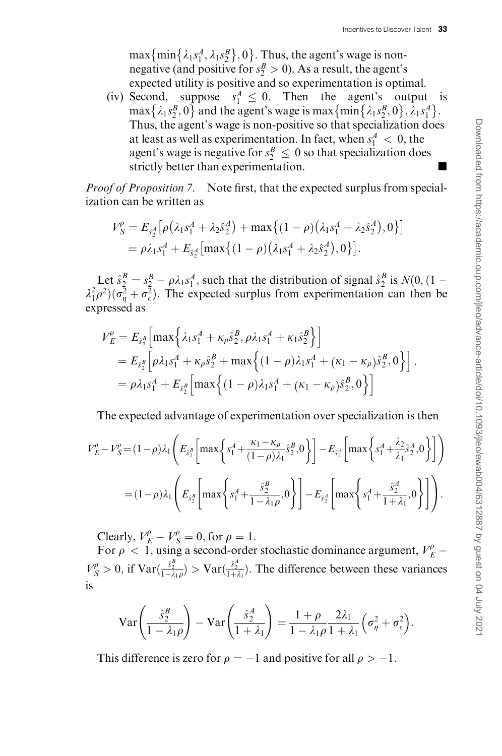$\max{\{\min{\{\lambda_1 s_1^A, \lambda_1 s_2^B\}, 0\}}$ . Thus, the agent's wage is nonnegative (and positive for  $s_2^B > 0$ ). As a result, the agent's expected utility is positive and so experimentation is optimal.

(iv) Second, suppose  $s_1^A \leq 0$ . Then the agent's output is max  $\{\lambda_1 s_2^B, 0\}$  and the agent's wage is max  $\{\min\{\lambda_1 s_2^B, 0\}, \lambda_1 s_1^A\}$ . Thus, the agent's wage is non-positive so that specialization does at least as well as experimentation. In fact, when  $s_1^A < 0$ , the agent's wage is negative for  $s_2^B \leq 0$  so that specialization does strictly better than experimentation.

Proof of Proposition 7. Note first, that the expected surplus from specialization can be written as

$$
V_S^{\rho} = E_{\hat{s}_2^A} [\rho (\lambda_1 s_1^A + \lambda_2 \hat{s}_2^A) + \max \{ (1 - \rho) (\lambda_1 s_1^A + \lambda_2 \hat{s}_2^A), 0 \}]
$$
  
=  $\rho \lambda_1 s_1^A + E_{\hat{s}_2^A} [\max \{ (1 - \rho) (\lambda_1 s_1^A + \lambda_2 \hat{s}_2^A), 0 \}].$ 

Let  $\hat{s}^B_2 = s^B_2 - \rho \lambda_1 s^A_1$ , such that the distribution of signal  $\hat{s}^B_2$  is  $N(0, 1 (\lambda_1^2 \rho^2)(\sigma_\eta^2 + \sigma_\epsilon^2)$ . The expected surplus from experimentation can then be expressed as

$$
V_{E}^{\rho} = E_{\hat{s}_{2}^{B}} \Big[ \max \Big\{ \lambda_{1} s_{1}^{A} + \kappa_{\rho} \hat{s}_{2}^{B}, \rho \lambda_{1} s_{1}^{A} + \kappa_{1} \hat{s}_{2}^{B} \Big\} \Big] = E_{\hat{s}_{2}^{B}} \Big[ \rho \lambda_{1} s_{1}^{A} + \kappa_{\rho} \hat{s}_{2}^{B} + \max \Big\{ (1 - \rho) \lambda_{1} s_{1}^{A} + (\kappa_{1} - \kappa_{\rho}) \hat{s}_{2}^{B}, 0 \Big\} \Big] = \rho \lambda_{1} s_{1}^{A} + E_{\hat{s}_{2}^{B}} \Big[ \max \Big\{ (1 - \rho) \lambda_{1} s_{1}^{A} + (\kappa_{1} - \kappa_{\rho}) \hat{s}_{2}^{B}, 0 \Big\} \Big]
$$

The expected advantage of experimentation over specialization is then

$$
V_{E}^{\rho} - V_{S}^{\rho} = (1 - \rho)\lambda_{1} \left( E_{\tilde{s}_{2}^{B}} \left[ \max \left\{ s_{1}^{A} + \frac{\kappa_{1} - \kappa_{\rho}}{(1 - \rho)\lambda_{1}} \hat{s}_{2}^{B}, 0 \right\} \right] - E_{\tilde{s}_{2}^{A}} \left[ \max \left\{ s_{1}^{A} + \frac{\lambda_{2}}{\lambda_{1}} \hat{s}_{2}^{A}, 0 \right\} \right] \right)
$$
  
=  $(1 - \rho)\lambda_{1} \left( E_{\tilde{s}_{2}^{B}} \left[ \max \left\{ s_{1}^{A} + \frac{\hat{s}_{2}^{B}}{1 - \lambda_{1}\rho}, 0 \right\} \right] - E_{\tilde{s}_{2}^{A}} \left[ \max \left\{ s_{1}^{A} + \frac{\hat{s}_{2}^{A}}{1 + \lambda_{1}}, 0 \right\} \right] \right).$ 

Clearly,  $V_E^{\rho} - V_S^{\rho} = 0$ , for  $\rho = 1$ .

For  $\rho < 1$ , using a second-order stochastic dominance argument,  $V_E^{\rho}$  –  $V_S^{\rho} > 0$ , if  $\text{Var}(\frac{\hat{s}_2^B}{1-\lambda_1\rho}) > \text{Var}(\frac{\hat{s}_2^A}{1+\lambda_1})$ . The difference between these variances is

$$
\operatorname{Var}\left(\frac{\hat{s}_2^B}{1-\lambda_1\rho}\right) - \operatorname{Var}\left(\frac{\hat{s}_2^A}{1+\lambda_1}\right) = \frac{1+\rho}{1-\lambda_1\rho} \frac{2\lambda_1}{1+\lambda_1} \left(\sigma_\eta^2 + \sigma_\epsilon^2\right).
$$

This difference is zero for  $\rho = -1$  and positive for all  $\rho > -1$ .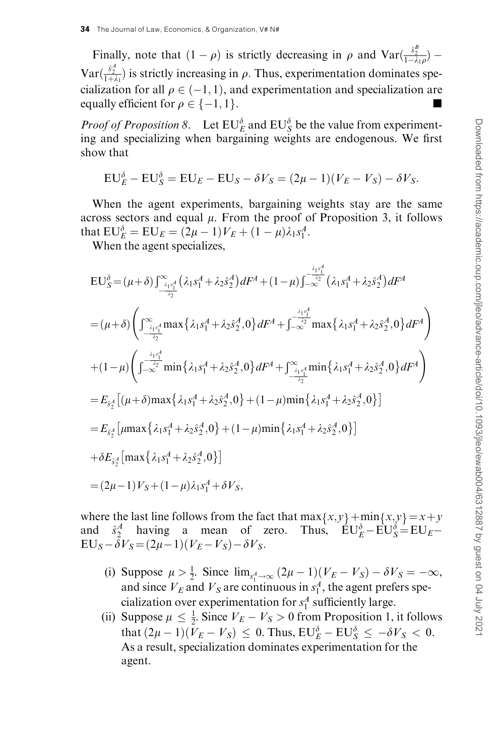Finally, note that  $(1 - \rho)$  is strictly decreasing in  $\rho$  and  $\text{Var}(\frac{\hat{s}_2^B}{1 - \lambda_1 \rho})$  –  $\text{Var}(\frac{\hat{s}_2^4}{1+\lambda_1})$  is strictly increasing in  $\rho$ . Thus, experimentation dominates specialization for all  $\rho \in (-1, 1)$ , and experimentation and specialization are equally efficient for  $\rho \in \{-1, 1\}$ .

*Proof of Proposition 8.* Let  $EU_E^{\delta}$  and  $EU_S^{\delta}$  be the value from experimenting and specializing when bargaining weights are endogenous. We first show that

$$
EU_E^{\delta} - EU_S^{\delta} = EU_E - EU_S - \delta V_S = (2\mu - 1)(V_E - V_S) - \delta V_S.
$$

When the agent experiments, bargaining weights stay are the same across sectors and equal  $\mu$ . From the proof of Proposition 3, it follows that  $EU_E^{\delta} = EU_E = (2\mu - 1)V_E + (1 - \mu)\lambda_1 s_1^A$ .

When the agent specializes,

$$
EU_{S}^{\delta} = (\mu + \delta) \int_{-\frac{\lambda_{1}s_{1}^{4}}{\lambda_{2}}}^{\infty} (\lambda_{1}s_{1}^{A} + \lambda_{2}\hat{s}_{2}^{A}) dF^{A} + (1 - \mu) \int_{-\infty}^{-\frac{\lambda_{1}s_{1}^{4}}{\lambda_{2}}} (\lambda_{1}s_{1}^{A} + \lambda_{2}\hat{s}_{2}^{A}) dF^{A}
$$
  
\n
$$
= (\mu + \delta) \left( \int_{-\frac{\lambda_{1}s_{1}^{4}}{\lambda_{2}}}^{\infty} \max \{\lambda_{1}s_{1}^{A} + \lambda_{2}\hat{s}_{2}^{A}, 0\} dF^{A} + \int_{-\infty}^{-\frac{\lambda_{1}s_{1}^{4}}{\lambda_{2}}} \max \{\lambda_{1}s_{1}^{A} + \lambda_{2}\hat{s}_{2}^{A}, 0\} dF^{A} \right)
$$
  
\n
$$
+ (1 - \mu) \left( \int_{-\infty}^{-\frac{\lambda_{1}s_{1}^{4}}{\lambda_{2}}} \min \{\lambda_{1}s_{1}^{A} + \lambda_{2}\hat{s}_{2}^{A}, 0\} dF^{A} + \int_{-\frac{\lambda_{1}s_{1}^{4}}{\lambda_{2}}}^{\infty} \min \{\lambda_{1}s_{1}^{A} + \lambda_{2}\hat{s}_{2}^{A}, 0\} dF^{A} \right)
$$
  
\n
$$
= E_{\hat{s}_{2}^{A}} [(\mu + \delta) \max \{\lambda_{1}s_{1}^{A} + \lambda_{2}\hat{s}_{2}^{A}, 0\} + (1 - \mu) \min \{\lambda_{1}s_{1}^{A} + \lambda_{2}\hat{s}_{2}^{A}, 0\}]
$$
  
\n
$$
= E_{\hat{s}_{2}^{A}} [\mu \max \{\lambda_{1}s_{1}^{A} + \lambda_{2}\hat{s}_{2}^{A}, 0\} + (1 - \mu) \min \{\lambda_{1}s_{1}^{A} + \lambda_{2}\hat{s}_{2}^{A}, 0\}]
$$
  
\n
$$
+ \delta E_{\hat{s}_{2}^{A}} [\max \{\lambda_{1}s_{1}^{A} + \lambda_{2}\hat{s}_{2}^{A}, 0\}]
$$
  
\n
$$
= (2\mu - 1)V_{S} + (1 - \mu) \lambda_{1}s_{1}^{A} + \delta V_{S},
$$

where the last line follows from the fact that  $\max\{x, y\} + \min\{x, y\} = x + y$ and  $\hat{s}_2^A$  having a mean of zero. Thus,  $\angle E U_E^{\delta} - \angle E U_S = E U_E - \angle E$  $EU_S - \delta V_S = (2\mu - 1)(V_E - V_S) - \delta V_S.$ 

- (i) Suppose  $\mu > \frac{1}{2}$ . Since  $\lim_{s_1^4 \to \infty} (2\mu 1)(V_E V_S) \delta V_S = -\infty$ , and since  $V_E$  and  $V_S$  are continuous in  $s_1^A$ , the agent prefers specialization over experimentation for  $s_1^A$  sufficiently large.
- (ii) Suppose  $\mu \leq \frac{1}{2}$ . Since  $V_E V_S > 0$  from Proposition 1, it follows that  $(2\mu - 1)(V_E - V_S) \leq 0$ . Thus,  $EU_E^{\delta} - EU_S^{\delta} \leq -\delta V_S < 0$ . As a result, specialization dominates experimentation for the agent.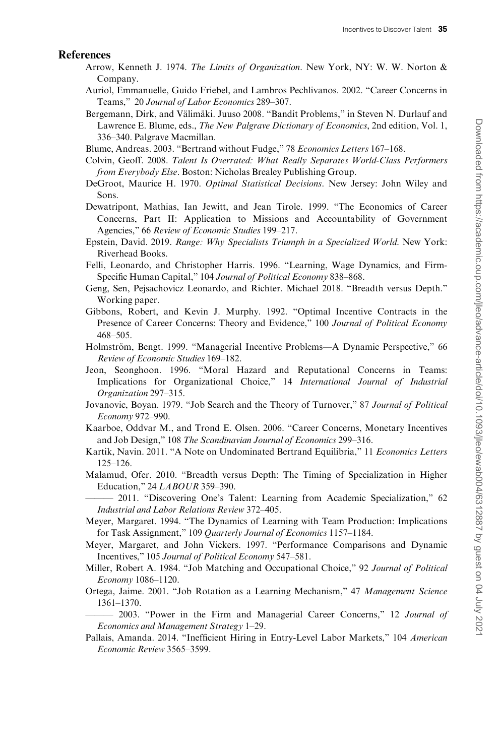#### <span id="page-34-0"></span>References

- Arrow, Kenneth J. 1974. The Limits of Organization. New York, NY: W. W. Norton & Company.
- Auriol, Emmanuelle, Guido Friebel, and Lambros Pechlivanos. 2002. "Career Concerns in Teams," 20 Journal of Labor Economics 289–307.
- Bergemann, Dirk, and Välimäki. Juuso 2008. "Bandit Problems," in Steven N. Durlauf and Lawrence E. Blume, eds., *The New Palgrave Dictionary of Economics*, 2nd edition, Vol. 1, 336–340. Palgrave Macmillan.
- Blume, Andreas. 2003. "Bertrand without Fudge," 78 Economics Letters 167–168.
- Colvin, Geoff. 2008. Talent Is Overrated: What Really Separates World-Class Performers from Everybody Else. Boston: Nicholas Brealey Publishing Group.
- DeGroot, Maurice H. 1970. Optimal Statistical Decisions. New Jersey: John Wiley and Sons.
- Dewatripont, Mathias, Ian Jewitt, and Jean Tirole. 1999. "The Economics of Career Concerns, Part II: Application to Missions and Accountability of Government Agencies," 66 Review of Economic Studies 199–217.
- Epstein, David. 2019. Range: Why Specialists Triumph in a Specialized World. New York: Riverhead Books.
- Felli, Leonardo, and Christopher Harris. 1996. "Learning, Wage Dynamics, and Firm-Specific Human Capital," 104 Journal of Political Economy 838–868.
- Geng, Sen, Pejsachovicz Leonardo, and Richter. Michael 2018. "Breadth versus Depth." Working paper.
- Gibbons, Robert, and Kevin J. Murphy. 1992. "Optimal Incentive Contracts in the Presence of Career Concerns: Theory and Evidence," 100 Journal of Political Economy 468–505.
- Holmström, Bengt. 1999. "Managerial Incentive Problems—A Dynamic Perspective," 66 Review of Economic Studies 169–182.
- Jeon, Seonghoon. 1996. "Moral Hazard and Reputational Concerns in Teams: Implications for Organizational Choice," 14 International Journal of Industrial Organization 297–315.
- Jovanovic, Boyan. 1979. "Job Search and the Theory of Turnover," 87 Journal of Political Economy 972–990.
- Kaarboe, Oddvar M., and Trond E. Olsen. 2006. "Career Concerns, Monetary Incentives and Job Design," 108 The Scandinavian Journal of Economics 299–316.
- Kartik, Navin. 2011. "A Note on Undominated Bertrand Equilibria," 11 Economics Letters 125–126.
- Malamud, Ofer. 2010. "Breadth versus Depth: The Timing of Specialization in Higher Education," 24 LABOUR 359–390.
	- 2011. "Discovering One's Talent: Learning from Academic Specialization," 62 Industrial and Labor Relations Review 372–405.
- Meyer, Margaret. 1994. "The Dynamics of Learning with Team Production: Implications for Task Assignment," 109 Quarterly Journal of Economics 1157–1184.
- Meyer, Margaret, and John Vickers. 1997. "Performance Comparisons and Dynamic Incentives," 105 Journal of Political Economy 547–581.
- Miller, Robert A. 1984. "Job Matching and Occupational Choice," 92 Journal of Political Economy 1086–1120.
- Ortega, Jaime. 2001. "Job Rotation as a Learning Mechanism," 47 Management Science 1361–1370.

- 2003. "Power in the Firm and Managerial Career Concerns," 12 Journal of Economics and Management Strategy 1–29.

Pallais, Amanda. 2014. "Inefficient Hiring in Entry-Level Labor Markets," 104 American Economic Review 3565–3599.